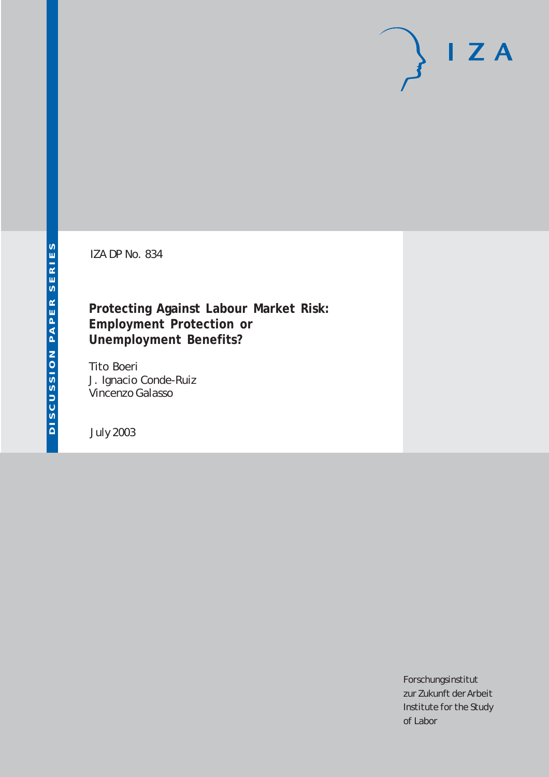# $I Z A$

IZA DP No. 834

## **Protecting Against Labour Market Risk: Employment Protection or Unemployment Benefits?**

Tito Boeri J. Ignacio Conde-Ruiz Vincenzo Galasso

July 2003

Forschungsinstitut zur Zukunft der Arbeit Institute for the Study of Labor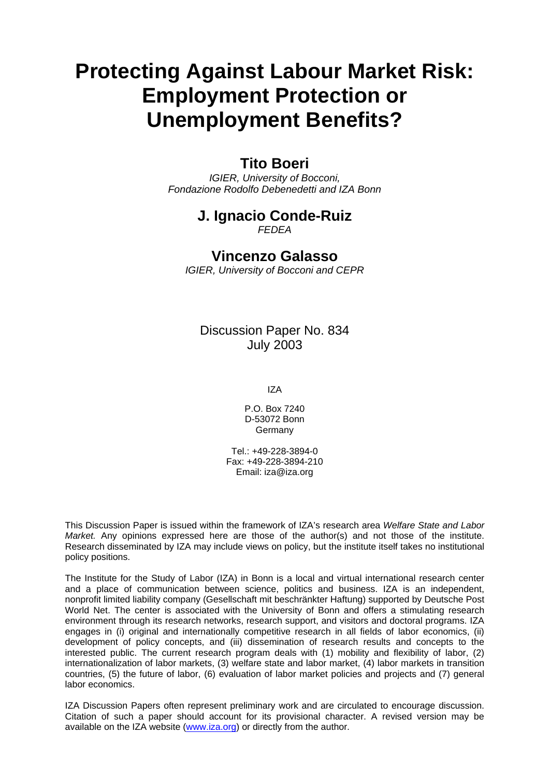# **Protecting Against Labour Market Risk: Employment Protection or Unemployment Benefits?**

### **Tito Boeri**

*IGIER, University of Bocconi, Fondazione Rodolfo Debenedetti and IZA Bonn* 

## **J. Ignacio Conde-Ruiz**

*FEDEA* 

## **Vincenzo Galasso**

*IGIER, University of Bocconi and CEPR* 

Discussion Paper No. 834 July 2003

IZA

P.O. Box 7240 D-53072 Bonn Germany

Tel.: +49-228-3894-0 Fax: +49-228-3894-210 Email: [iza@iza.org](mailto:iza@iza.org)

This Discussion Paper is issued within the framework of IZA's research area *Welfare State and Labor Market.* Any opinions expressed here are those of the author(s) and not those of the institute. Research disseminated by IZA may include views on policy, but the institute itself takes no institutional policy positions.

The Institute for the Study of Labor (IZA) in Bonn is a local and virtual international research center and a place of communication between science, politics and business. IZA is an independent, nonprofit limited liability company (Gesellschaft mit beschränkter Haftung) supported by Deutsche Post World Net. The center is associated with the University of Bonn and offers a stimulating research environment through its research networks, research support, and visitors and doctoral programs. IZA engages in (i) original and internationally competitive research in all fields of labor economics, (ii) development of policy concepts, and (iii) dissemination of research results and concepts to the interested public. The current research program deals with (1) mobility and flexibility of labor, (2) internationalization of labor markets, (3) welfare state and labor market, (4) labor markets in transition countries, (5) the future of labor, (6) evaluation of labor market policies and projects and (7) general labor economics.

IZA Discussion Papers often represent preliminary work and are circulated to encourage discussion. Citation of such a paper should account for its provisional character. A revised version may be available on the IZA website ([www.iza.org](http://www.iza.org/)) or directly from the author.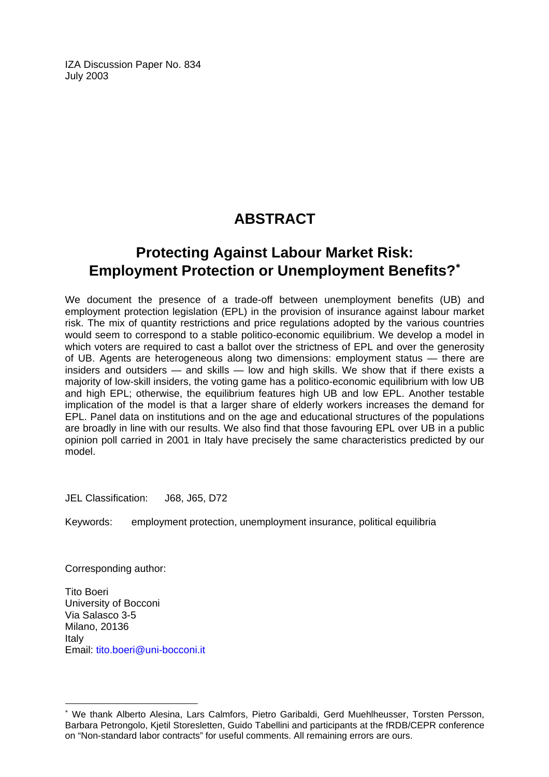IZA Discussion Paper No. 834 July 2003

## **ABSTRACT**

## **Protecting Against Labour Market Risk: Employment Protection or Unemployment Benefits?**[∗](#page-2-0)

We document the presence of a trade-off between unemployment benefits (UB) and employment protection legislation (EPL) in the provision of insurance against labour market risk. The mix of quantity restrictions and price regulations adopted by the various countries would seem to correspond to a stable politico-economic equilibrium. We develop a model in which voters are required to cast a ballot over the strictness of EPL and over the generosity of UB. Agents are heterogeneous along two dimensions: employment status — there are insiders and outsiders  $-$  and skills  $-$  low and high skills. We show that if there exists a majority of low-skill insiders, the voting game has a politico-economic equilibrium with low UB and high EPL; otherwise, the equilibrium features high UB and low EPL. Another testable implication of the model is that a larger share of elderly workers increases the demand for EPL. Panel data on institutions and on the age and educational structures of the populations are broadly in line with our results. We also find that those favouring EPL over UB in a public opinion poll carried in 2001 in Italy have precisely the same characteristics predicted by our model.

JEL Classification: J68, J65, D72

Keywords: employment protection, unemployment insurance, political equilibria

Corresponding author:

 $\overline{a}$ 

Tito Boeri University of Bocconi Via Salasco 3-5 Milano, 20136 Italy Email: [tito.boeri@uni-bocconi.it](mailto:tito.boeri@uni-bocconi.it)

<span id="page-2-0"></span><sup>∗</sup> We thank Alberto Alesina, Lars Calmfors, Pietro Garibaldi, Gerd Muehlheusser, Torsten Persson, Barbara Petrongolo, Kjetil Storesletten, Guido Tabellini and participants at the fRDB/CEPR conference on "Non-standard labor contracts" for useful comments. All remaining errors are ours.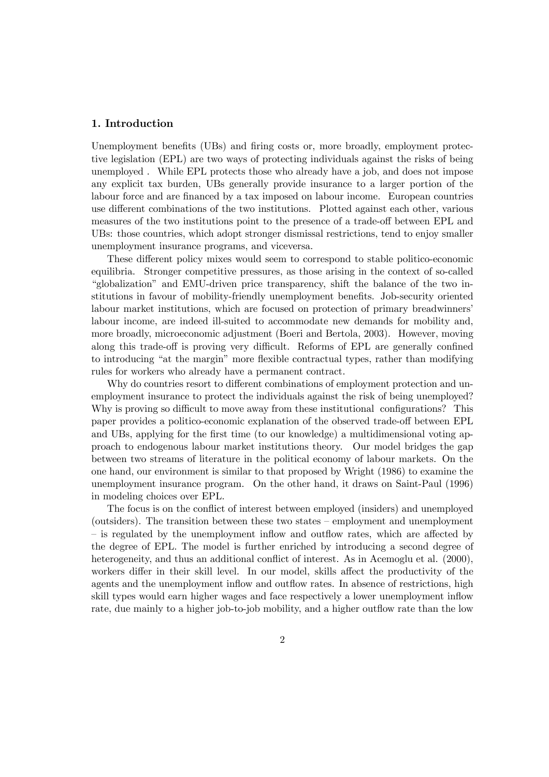#### 1. Introduction

Unemployment benefits (UBs) and firing costs or, more broadly, employment protective legislation (EPL) are two ways of protecting individuals against the risks of being unemployed . While EPL protects those who already have a job, and does not impose any explicit tax burden, UBs generally provide insurance to a larger portion of the labour force and are financed by a tax imposed on labour income. European countries use different combinations of the two institutions. Plotted against each other, various measures of the two institutions point to the presence of a trade-off between EPL and UBs: those countries, which adopt stronger dismissal restrictions, tend to enjoy smaller unemployment insurance programs, and viceversa.

These different policy mixes would seem to correspond to stable politico-economic equilibria. Stronger competitive pressures, as those arising in the context of so-called "globalization" and EMU-driven price transparency, shift the balance of the two institutions in favour of mobility-friendly unemployment benefits. Job-security oriented labour market institutions, which are focused on protection of primary breadwinners' labour income, are indeed ill-suited to accommodate new demands for mobility and, more broadly, microeconomic adjustment (Boeri and Bertola, 2003). However, moving along this trade-off is proving very difficult. Reforms of EPL are generally confined to introducing "at the margin" more flexible contractual types, rather than modifying rules for workers who already have a permanent contract.

Why do countries resort to different combinations of employment protection and unemployment insurance to protect the individuals against the risk of being unemployed? Why is proving so difficult to move away from these institutional configurations? This paper provides a politico-economic explanation of the observed trade-off between EPL and UBs, applying for the first time (to our knowledge) a multidimensional voting approach to endogenous labour market institutions theory. Our model bridges the gap between two streams of literature in the political economy of labour markets. On the one hand, our environment is similar to that proposed by Wright (1986) to examine the unemployment insurance program. On the other hand, it draws on Saint-Paul (1996) in modeling choices over EPL.

The focus is on the conflict of interest between employed (insiders) and unemployed (outsiders). The transition between these two states — employment and unemployment — is regulated by the unemployment inflow and outflow rates, which are affected by the degree of EPL. The model is further enriched by introducing a second degree of heterogeneity, and thus an additional conflict of interest. As in Acemoglu et al. (2000), workers differ in their skill level. In our model, skills affect the productivity of the agents and the unemployment inflow and outflow rates. In absence of restrictions, high skill types would earn higher wages and face respectively a lower unemployment inflow rate, due mainly to a higher job-to-job mobility, and a higher outflow rate than the low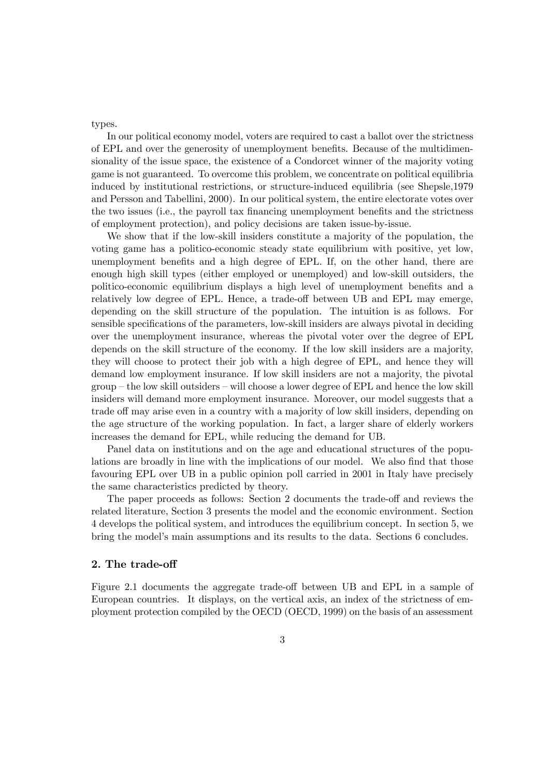types.

In our political economy model, voters are required to cast a ballot over the strictness of EPL and over the generosity of unemployment benefits. Because of the multidimensionality of the issue space, the existence of a Condorcet winner of the majority voting game is not guaranteed. To overcome this problem, we concentrate on political equilibria induced by institutional restrictions, or structure-induced equilibria (see Shepsle,1979 and Persson and Tabellini, 2000). In our political system, the entire electorate votes over the two issues (i.e., the payroll tax financing unemployment benefits and the strictness of employment protection), and policy decisions are taken issue-by-issue.

We show that if the low-skill insiders constitute a majority of the population, the voting game has a politico-economic steady state equilibrium with positive, yet low, unemployment benefits and a high degree of EPL. If, on the other hand, there are enough high skill types (either employed or unemployed) and low-skill outsiders, the politico-economic equilibrium displays a high level of unemployment benefits and a relatively low degree of EPL. Hence, a trade-off between UB and EPL may emerge, depending on the skill structure of the population. The intuition is as follows. For sensible specifications of the parameters, low-skill insiders are always pivotal in deciding over the unemployment insurance, whereas the pivotal voter over the degree of EPL depends on the skill structure of the economy. If the low skill insiders are a majority, they will choose to protect their job with a high degree of EPL, and hence they will demand low employment insurance. If low skill insiders are not a majority, the pivotal group — the low skill outsiders — will choose a lower degree of EPL and hence the low skill insiders will demand more employment insurance. Moreover, our model suggests that a trade off may arise even in a country with a majority of low skill insiders, depending on the age structure of the working population. In fact, a larger share of elderly workers increases the demand for EPL, while reducing the demand for UB.

Panel data on institutions and on the age and educational structures of the populations are broadly in line with the implications of our model. We also find that those favouring EPL over UB in a public opinion poll carried in 2001 in Italy have precisely the same characteristics predicted by theory.

The paper proceeds as follows: Section 2 documents the trade-off and reviews the related literature, Section 3 presents the model and the economic environment. Section 4 develops the political system, and introduces the equilibrium concept. In section 5, we bring the model's main assumptions and its results to the data. Sections 6 concludes.

#### 2. The trade-off

Figure 2.1 documents the aggregate trade-off between UB and EPL in a sample of European countries. It displays, on the vertical axis, an index of the strictness of employment protection compiled by the OECD (OECD, 1999) on the basis of an assessment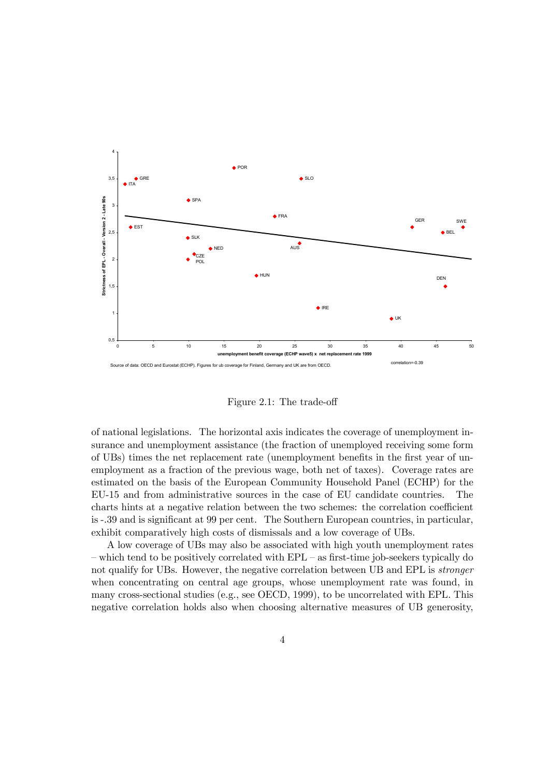

Figure 2.1: The trade-off

of national legislations. The horizontal axis indicates the coverage of unemployment insurance and unemployment assistance (the fraction of unemployed receiving some form of UBs) times the net replacement rate (unemployment benefits in the first year of unemployment as a fraction of the previous wage, both net of taxes). Coverage rates are estimated on the basis of the European Community Household Panel (ECHP) for the EU-15 and from administrative sources in the case of EU candidate countries. The charts hints at a negative relation between the two schemes: the correlation coefficient is -.39 and is significant at 99 per cent. The Southern European countries, in particular, exhibit comparatively high costs of dismissals and a low coverage of UBs.

A low coverage of UBs may also be associated with high youth unemployment rates — which tend to be positively correlated with EPL — as first-time job-seekers typically do not qualify for UBs. However, the negative correlation between UB and EPL is stronger when concentrating on central age groups, whose unemployment rate was found, in many cross-sectional studies (e.g., see OECD, 1999), to be uncorrelated with EPL. This negative correlation holds also when choosing alternative measures of UB generosity,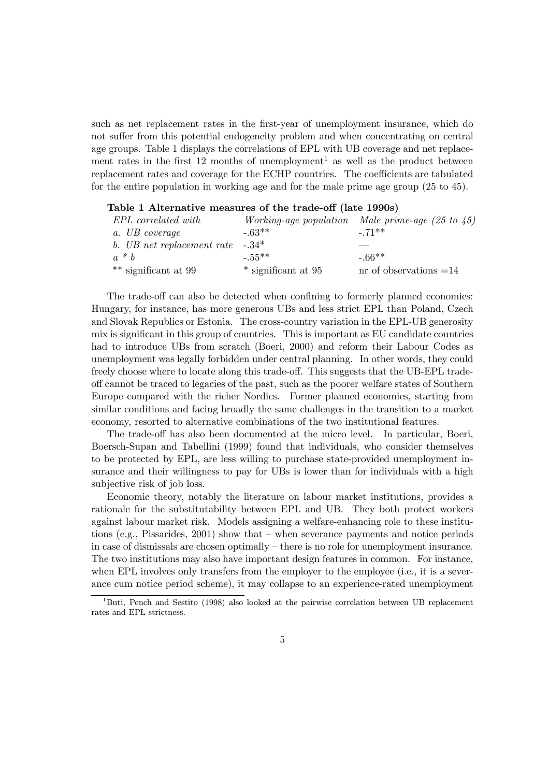such as net replacement rates in the first-year of unemployment insurance, which do not suffer from this potential endogeneity problem and when concentrating on central age groups. Table 1 displays the correlations of EPL with UB coverage and net replacement rates in the first 12 months of unemployment<sup>1</sup> as well as the product between replacement rates and coverage for the ECHP countries. The coefficients are tabulated for the entire population in working age and for the male prime age group (25 to 45).

| EPL correlated with                |                     | Working-age population Male prime-age $(25 \text{ to } 45)$ |
|------------------------------------|---------------------|-------------------------------------------------------------|
| a. UB coverage                     | $-.63**$            | $-71**$                                                     |
| b. UB net replacement rate $-.34*$ |                     |                                                             |
| $a * b$                            | $-55**$             | $-66**$                                                     |
| $**$ significant at 99             | * significant at 95 | nr of observations $=14$                                    |

| Table 1 Alternative measures of the trade-off (late 1990s) |  |  |
|------------------------------------------------------------|--|--|
|------------------------------------------------------------|--|--|

The trade-off can also be detected when confining to formerly planned economies: Hungary, for instance, has more generous UBs and less strict EPL than Poland, Czech and Slovak Republics or Estonia. The cross-country variation in the EPL-UB generosity mix is significant in this group of countries. This is important as EU candidate countries had to introduce UBs from scratch (Boeri, 2000) and reform their Labour Codes as unemployment was legally forbidden under central planning. In other words, they could freely choose where to locate along this trade-off. This suggests that the UB-EPL tradeoff cannot be traced to legacies of the past, such as the poorer welfare states of Southern Europe compared with the richer Nordics. Former planned economies, starting from similar conditions and facing broadly the same challenges in the transition to a market economy, resorted to alternative combinations of the two institutional features.

The trade-off has also been documented at the micro level. In particular, Boeri, Boersch-Supan and Tabellini (1999) found that individuals, who consider themselves to be protected by EPL, are less willing to purchase state-provided unemployment insurance and their willingness to pay for UBs is lower than for individuals with a high subjective risk of job loss.

Economic theory, notably the literature on labour market institutions, provides a rationale for the substitutability between EPL and UB. They both protect workers against labour market risk. Models assigning a welfare-enhancing role to these institutions (e.g., Pissarides, 2001) show that — when severance payments and notice periods in case of dismissals are chosen optimally — there is no role for unemployment insurance. The two institutions may also have important design features in common. For instance, when EPL involves only transfers from the employer to the employee (i.e., it is a severance cum notice period scheme), it may collapse to an experience-rated unemployment

<sup>1</sup>Buti, Pench and Sestito (1998) also looked at the pairwise correlation between UB replacement rates and EPL strictness.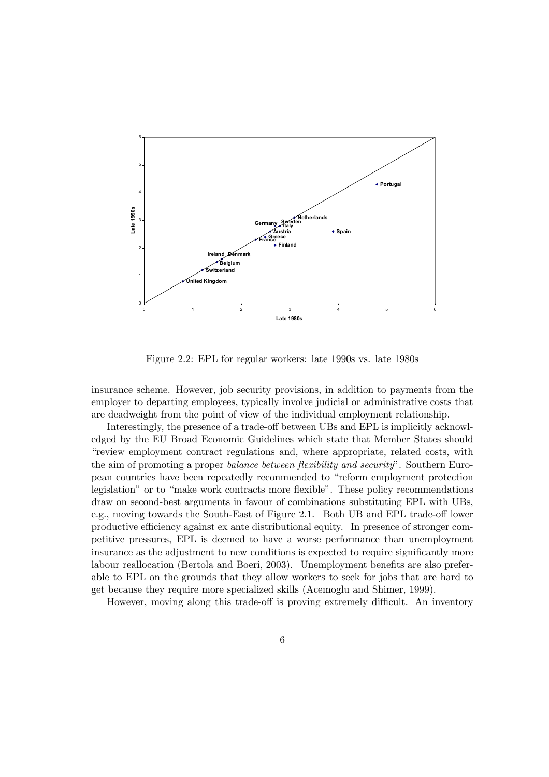

Figure 2.2: EPL for regular workers: late 1990s vs. late 1980s

insurance scheme. However, job security provisions, in addition to payments from the employer to departing employees, typically involve judicial or administrative costs that are deadweight from the point of view of the individual employment relationship.

Interestingly, the presence of a trade-off between UBs and EPL is implicitly acknowledged by the EU Broad Economic Guidelines which state that Member States should "review employment contract regulations and, where appropriate, related costs, with the aim of promoting a proper balance between flexibility and security". Southern European countries have been repeatedly recommended to "reform employment protection legislation" or to "make work contracts more flexible". These policy recommendations draw on second-best arguments in favour of combinations substituting EPL with UBs, e.g., moving towards the South-East of Figure 2.1. Both UB and EPL trade-off lower productive efficiency against ex ante distributional equity. In presence of stronger competitive pressures, EPL is deemed to have a worse performance than unemployment insurance as the adjustment to new conditions is expected to require significantly more labour reallocation (Bertola and Boeri, 2003). Unemployment benefits are also preferable to EPL on the grounds that they allow workers to seek for jobs that are hard to get because they require more specialized skills (Acemoglu and Shimer, 1999).

However, moving along this trade-off is proving extremely difficult. An inventory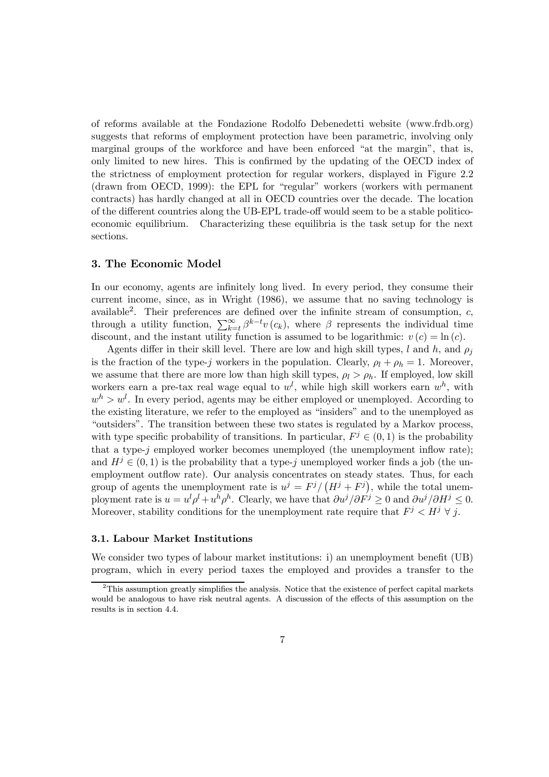of reforms available at the Fondazione Rodolfo Debenedetti website (www.frdb.org) suggests that reforms of employment protection have been parametric, involving only marginal groups of the workforce and have been enforced "at the margin", that is, only limited to new hires. This is confirmed by the updating of the OECD index of the strictness of employment protection for regular workers, displayed in Figure 2.2 (drawn from OECD, 1999): the EPL for "regular" workers (workers with permanent contracts) has hardly changed at all in OECD countries over the decade. The location of the different countries along the UB-EPL trade-off would seem to be a stable politicoeconomic equilibrium. Characterizing these equilibria is the task setup for the next sections.

#### 3. The Economic Model

In our economy, agents are infinitely long lived. In every period, they consume their current income, since, as in Wright (1986), we assume that no saving technology is available<sup>2</sup>. Their preferences are defined over the infinite stream of consumption,  $c$ , through a utility function,  $\sum_{k=t}^{\infty} \beta^{k-t} v(c_k)$ , where  $\beta$  represents the individual time discount, and the instant utility function is assumed to be logarithmic:  $v(c) = \ln(c)$ .

Agents differ in their skill level. There are low and high skill types, l and h, and  $\rho_i$ is the fraction of the type-j workers in the population. Clearly,  $\rho_l + \rho_h = 1$ . Moreover, we assume that there are more low than high skill types,  $\rho_l > \rho_h$ . If employed, low skill workers earn a pre-tax real wage equal to  $w^{l}$ , while high skill workers earn  $w^{h}$ , with  $w<sup>h</sup> > w<sup>l</sup>$ . In every period, agents may be either employed or unemployed. According to the existing literature, we refer to the employed as "insiders" and to the unemployed as "outsiders". The transition between these two states is regulated by a Markov process, with type specific probability of transitions. In particular,  $F^j \in (0,1)$  is the probability that a type- $j$  employed worker becomes unemployed (the unemployment inflow rate); and  $H^j \in (0,1)$  is the probability that a type-j unemployed worker finds a job (the unemployment outflow rate). Our analysis concentrates on steady states. Thus, for each group of agents the unemployment rate is  $u^{j} = F^{j}/(H^{j} + F^{j})$ , while the total unemployment rate is  $u = u^l \rho^l + u^h \rho^h$ . Clearly, we have that  $\frac{\partial u^j}{\partial F^j} \ge 0$  and  $\frac{\partial u^j}{\partial F^j} \le 0$ . Moreover, stability conditions for the unemployment rate require that  $F^j < H^j \forall j$ .

#### 3.1. Labour Market Institutions

We consider two types of labour market institutions: i) an unemployment benefit (UB) program, which in every period taxes the employed and provides a transfer to the

 $2$ This assumption greatly simplifies the analysis. Notice that the existence of perfect capital markets would be analogous to have risk neutral agents. A discussion of the effects of this assumption on the results is in section 4.4.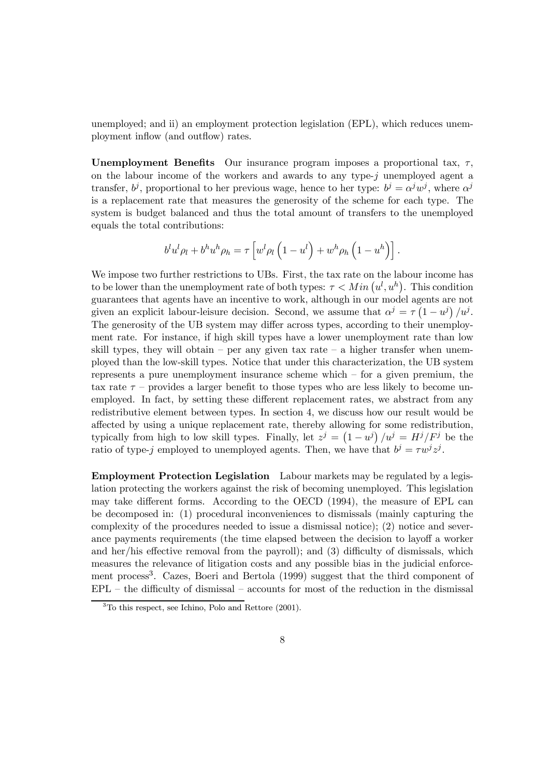unemployed; and ii) an employment protection legislation (EPL), which reduces unemployment inflow (and outflow) rates.

Unemployment Benefits Our insurance program imposes a proportional tax,  $\tau$ , on the labour income of the workers and awards to any type-j unemployed agent a transfer,  $b^j$ , proportional to her previous wage, hence to her type:  $b^j = \alpha^j w^j$ , where  $\alpha^j$ is a replacement rate that measures the generosity of the scheme for each type. The system is budget balanced and thus the total amount of transfers to the unemployed equals the total contributions:

$$
b^l u^l \rho_l + b^h u^h \rho_h = \tau \left[ w^l \rho_l \left( 1 - u^l \right) + w^h \rho_h \left( 1 - u^h \right) \right].
$$

We impose two further restrictions to UBs. First, the tax rate on the labour income has to be lower than the unemployment rate of both types:  $\tau \langle Min (u^l, u^h)$ . This condition guarantees that agents have an incentive to work, although in our model agents are not given an explicit labour-leisure decision. Second, we assume that  $\alpha^j = \tau \left(1 - u^j\right) / u^j$ . The generosity of the UB system may differ across types, according to their unemployment rate. For instance, if high skill types have a lower unemployment rate than low skill types, they will obtain – per any given tax rate – a higher transfer when unemployed than the low-skill types. Notice that under this characterization, the UB system represents a pure unemployment insurance scheme which — for a given premium, the tax rate  $\tau$  – provides a larger benefit to those types who are less likely to become unemployed. In fact, by setting these different replacement rates, we abstract from any redistributive element between types. In section 4, we discuss how our result would be affected by using a unique replacement rate, thereby allowing for some redistribution, typically from high to low skill types. Finally, let  $z^j = (1 - u^j) / u^j = H^j / F^j$  be the ratio of type-j employed to unemployed agents. Then, we have that  $b^j = \tau w^j z^j$ .

Employment Protection Legislation Labour markets may be regulated by a legislation protecting the workers against the risk of becoming unemployed. This legislation may take different forms. According to the OECD (1994), the measure of EPL can be decomposed in: (1) procedural inconveniences to dismissals (mainly capturing the complexity of the procedures needed to issue a dismissal notice); (2) notice and severance payments requirements (the time elapsed between the decision to layoff a worker and her/his effective removal from the payroll); and (3) difficulty of dismissals, which measures the relevance of litigation costs and any possible bias in the judicial enforcement process<sup>3</sup>. Cazes, Boeri and Bertola (1999) suggest that the third component of  $EPL - the difficulty of dismissed - accounts for most of the reduction in the dismissed$ 

<sup>3</sup>To this respect, see Ichino, Polo and Rettore (2001).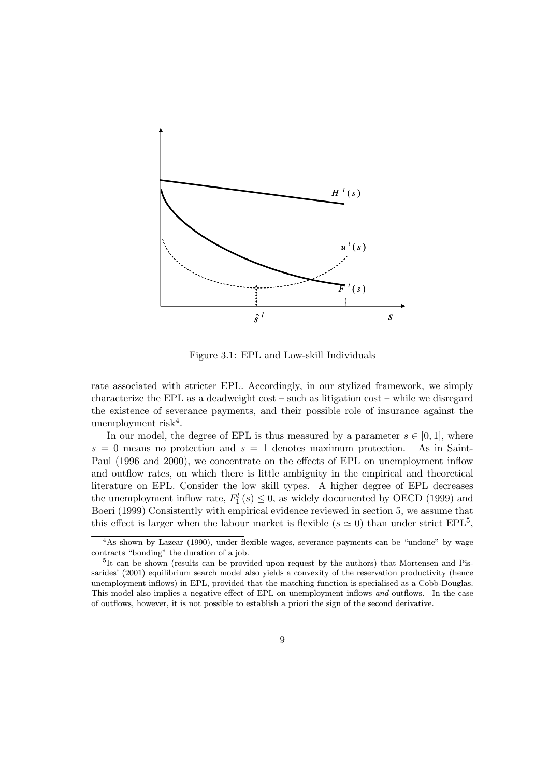

Figure 3.1: EPL and Low-skill Individuals

rate associated with stricter EPL. Accordingly, in our stylized framework, we simply characterize the EPL as a deadweight cost — such as litigation cost — while we disregard the existence of severance payments, and their possible role of insurance against the unemployment risk<sup>4</sup>.

In our model, the degree of EPL is thus measured by a parameter  $s \in [0, 1]$ , where  $= 0$  means no protection and  $s = 1$  denotes maximum protection. As in Saint $s = 0$  means no protection and  $s = 1$  denotes maximum protection. Paul (1996 and 2000), we concentrate on the effects of EPL on unemployment inflow and outflow rates, on which there is little ambiguity in the empirical and theoretical literature on EPL. Consider the low skill types. A higher degree of EPL decreases the unemployment inflow rate,  $F_1^l(s) \leq 0$ , as widely documented by OECD (1999) and Boeri (1999) Consistently with empirical evidence reviewed in section 5, we assume that this effect is larger when the labour market is flexible ( $s \approx 0$ ) than under strict EPL<sup>5</sup>.

<sup>4</sup>As shown by Lazear (1990), under flexible wages, severance payments can be "undone" by wage contracts "bonding" the duration of a job.

<sup>5</sup>It can be shown (results can be provided upon request by the authors) that Mortensen and Pissarides' (2001) equilibrium search model also yields a convexity of the reservation productivity (hence unemployment inflows) in EPL, provided that the matching function is specialised as a Cobb-Douglas. This model also implies a negative effect of EPL on unemployment inflows and outflows. In the case of outflows, however, it is not possible to establish a priori the sign of the second derivative.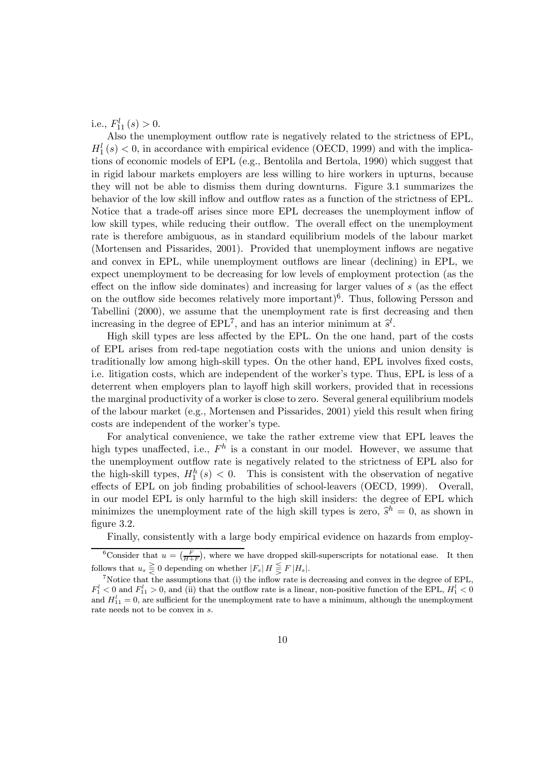i.e.,  $F_{11}^l(s) > 0$ .

Also the unemployment outflow rate is negatively related to the strictness of EPL,  $H_1^l(s) < 0$ , in accordance with empirical evidence (OECD, 1999) and with the implications of economic models of EPL (e.g., Bentolila and Bertola, 1990) which suggest that in rigid labour markets employers are less willing to hire workers in upturns, because they will not be able to dismiss them during downturns. Figure 3.1 summarizes the behavior of the low skill inflow and outflow rates as a function of the strictness of EPL. Notice that a trade-off arises since more EPL decreases the unemployment inflow of low skill types, while reducing their outflow. The overall effect on the unemployment rate is therefore ambiguous, as in standard equilibrium models of the labour market (Mortensen and Pissarides, 2001). Provided that unemployment inflows are negative and convex in EPL, while unemployment outflows are linear (declining) in EPL, we expect unemployment to be decreasing for low levels of employment protection (as the effect on the inflow side dominates) and increasing for larger values of  $s$  (as the effect on the outflow side becomes relatively more important)<sup>6</sup>. Thus, following Persson and Tabellini (2000), we assume that the unemployment rate is first decreasing and then increasing in the degree of  $EPL^7$ , and has an interior minimum at  $\hat{s}^l$ .

High skill types are less affected by the EPL. On the one hand, part of the costs of EPL arises from red-tape negotiation costs with the unions and union density is traditionally low among high-skill types. On the other hand, EPL involves fixed costs, i.e. litigation costs, which are independent of the worker's type. Thus, EPL is less of a deterrent when employers plan to layoff high skill workers, provided that in recessions the marginal productivity of a worker is close to zero. Several general equilibrium models of the labour market (e.g., Mortensen and Pissarides, 2001) yield this result when firing costs are independent of the worker's type.

For analytical convenience, we take the rather extreme view that EPL leaves the high types unaffected, i.e.,  $F^h$  is a constant in our model. However, we assume that the unemployment outflow rate is negatively related to the strictness of EPL also for the high-skill types,  $H_1^h(s) < 0$ . This is consistent with the observation of negative effects of EPL on job finding probabilities of school-leavers (OECD, 1999). Overall, in our model EPL is only harmful to the high skill insiders: the degree of EPL which minimizes the unemployment rate of the high skill types is zero,  $\hat{s}^h = 0$ , as shown in figure 3.2.

Finally, consistently with a large body empirical evidence on hazards from employ-

<sup>&</sup>lt;sup>6</sup>Consider that  $u = \left(\frac{F}{H+F}\right)$ , where we have dropped skill-superscripts for notational ease. It then follows that  $u_s \geq 0$  depending on whether  $|F_s| H \leq F |H_s|$ .<br><sup>7</sup>Notice that the assumptions that (i) the inflow rate is decreasing and convex in the degree of EPL,

 $F_1^l < 0$  and  $F_{11}^l > 0$ , and (ii) that the outflow rate is a linear, non-positive function of the EPL,  $H_1^l < 0$ and  $H_{11}^l = 0$ , are sufficient for the unemployment rate to have a minimum, although the unemployment rate needs not to be convex in s.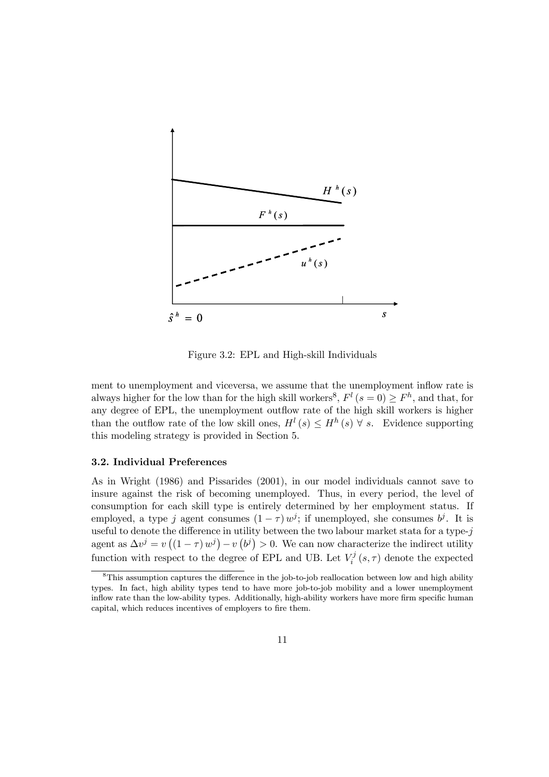

Figure 3.2: EPL and High-skill Individuals

ment to unemployment and viceversa, we assume that the unemployment inflow rate is always higher for the low than for the high skill workers<sup>8</sup>,  $F^{l} (s = 0) \geq F^{h}$ , and that, for any degree of EPL, the unemployment outflow rate of the high skill workers is higher than the outflow rate of the low skill ones,  $H^l(s) \leq H^h(s)$   $\forall s$ . Evidence supporting this modeling strategy is provided in Section 5.

#### 3.2. Individual Preferences

As in Wright (1986) and Pissarides (2001), in our model individuals cannot save to insure against the risk of becoming unemployed. Thus, in every period, the level of consumption for each skill type is entirely determined by her employment status. If employed, a type j agent consumes  $(1 - \tau) w^j$ ; if unemployed, she consumes  $b^j$ . It is useful to denote the difference in utility between the two labour market stata for a type- $i$ agent as  $\Delta v^j = v((1 - \tau) w^j) - v(v^j) > 0$ . We can now characterize the indirect utility function with respect to the degree of EPL and UB. Let  $V_i^j(s, \tau)$  denote the expected

<sup>&</sup>lt;sup>8</sup>This assumption captures the difference in the job-to-job reallocation between low and high ability types. In fact, high ability types tend to have more job-to-job mobility and a lower unemployment inflow rate than the low-ability types. Additionally, high-ability workers have more firm specific human capital, which reduces incentives of employers to fire them.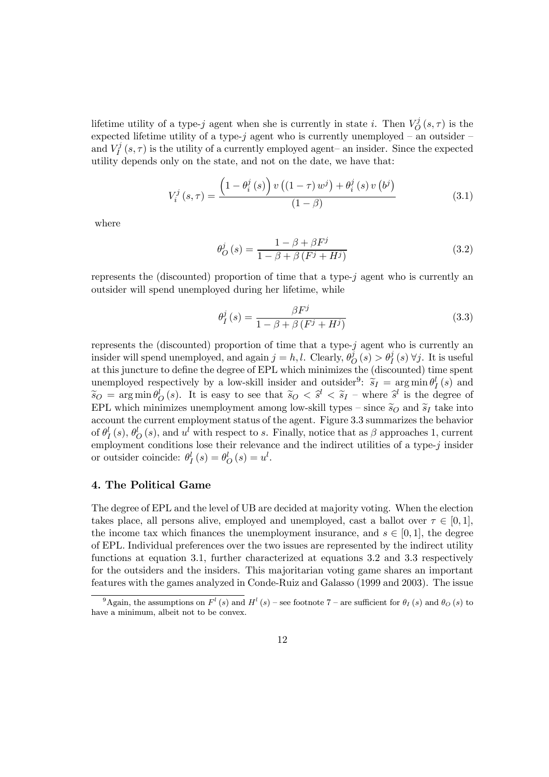lifetime utility of a type-j agent when she is currently in state i. Then  $V_Q^j(s,\tau)$  is the expected lifetime utility of a type- $j$  agent who is currently unemployed – an outsider – and  $V_I^j(s,\tau)$  is the utility of a currently employed agent– an insider. Since the expected utility depends only on the state, and not on the date, we have that:

$$
V_i^j\left(s,\tau\right) = \frac{\left(1 - \theta_i^j\left(s\right)\right)v\left(\left(1 - \tau\right)w^j\right) + \theta_i^j\left(s\right)v\left(b^j\right)}{\left(1 - \beta\right)}\tag{3.1}
$$

where

$$
\theta_{O}^{j}(s) = \frac{1 - \beta + \beta F^{j}}{1 - \beta + \beta (F^{j} + H^{j})}
$$
(3.2)

represents the (discounted) proportion of time that a type-j agent who is currently an outsider will spend unemployed during her lifetime, while

$$
\theta_{I}^{j}(s) = \frac{\beta F^{j}}{1 - \beta + \beta (F^{j} + H^{j})}
$$
(3.3)

represents the (discounted) proportion of time that a type-j agent who is currently an insider will spend unemployed, and again  $j = h, l$ . Clearly,  $\theta_O^j(s) > \theta_I^j(s) \,\forall j$ . It is useful at this juncture to define the degree of EPL which minimizes the (discounted) time spent unemployed respectively by a low-skill insider and outsider<sup>9</sup>:  $\widetilde{s}_I = \arg \min \theta_I^l(s)$  and  $\widetilde{s}_O = \arg \min \theta^l_O(s)$ . It is easy to see that  $\widetilde{s}_O < \widetilde{s}^l < \widetilde{s}_I$  – where  $\widetilde{s}^l$  is the degree of EPL which minimizes unemployment among low-skill types – since  $\tilde{s}_O$  and  $\tilde{s}_I$  take into account the current employment status of the agent. Figure 3.3 summarizes the behavior of  $\theta_I^l(s)$ ,  $\theta_O^l(s)$ , and  $u^l$  with respect to s. Finally, notice that as  $\beta$  approaches 1, current employment conditions lose their relevance and the indirect utilities of a type- $j$  insider or outsider coincide:  $\theta_I^l(s) = \theta_O^l(s) = u^l$ .

#### 4. The Political Game

The degree of EPL and the level of UB are decided at majority voting. When the election takes place, all persons alive, employed and unemployed, cast a ballot over  $\tau \in [0, 1]$ , the income tax which finances the unemployment insurance, and  $s \in [0, 1]$ , the degree of EPL. Individual preferences over the two issues are represented by the indirect utility functions at equation 3.1, further characterized at equations 3.2 and 3.3 respectively for the outsiders and the insiders. This majoritarian voting game shares an important features with the games analyzed in Conde-Ruiz and Galasso (1999 and 2003). The issue

<sup>&</sup>lt;sup>9</sup>Again, the assumptions on  $F^l$  (s) and  $H^l$  (s) – see footnote 7 – are sufficient for  $\theta_I$  (s) and  $\theta_O$  (s) to have a minimum, albeit not to be convex.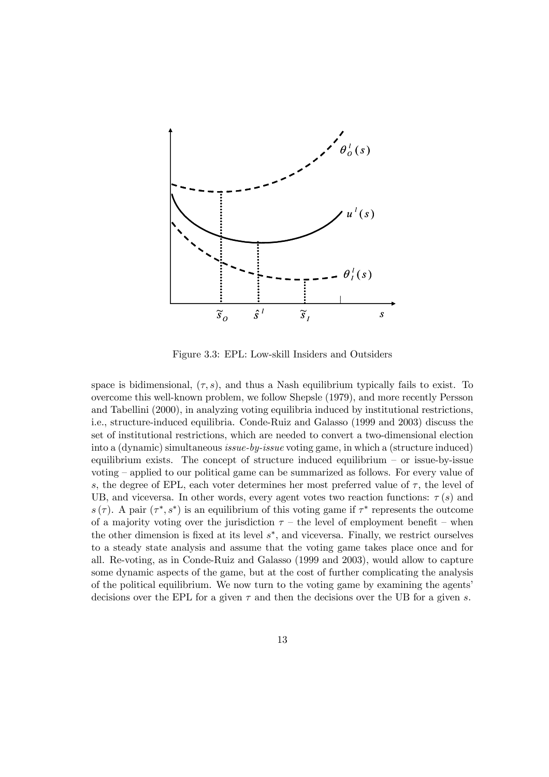

Figure 3.3: EPL: Low-skill Insiders and Outsiders

space is bidimensional,  $(\tau, s)$ , and thus a Nash equilibrium typically fails to exist. To overcome this well-known problem, we follow Shepsle (1979), and more recently Persson and Tabellini (2000), in analyzing voting equilibria induced by institutional restrictions, i.e., structure-induced equilibria. Conde-Ruiz and Galasso (1999 and 2003) discuss the set of institutional restrictions, which are needed to convert a two-dimensional election into a (dynamic) simultaneous issue-by-issue voting game, in which a (structure induced) equilibrium exists. The concept of structure induced equilibrium — or issue-by-issue voting — applied to our political game can be summarized as follows. For every value of s, the degree of EPL, each voter determines her most preferred value of  $\tau$ , the level of UB, and viceversa. In other words, every agent votes two reaction functions:  $\tau(s)$  and s (τ). A pair ( $\tau^*, s^*$ ) is an equilibrium of this voting game if  $\tau^*$  represents the outcome of a majority voting over the jurisdiction  $\tau$  – the level of employment benefit – when the other dimension is fixed at its level s∗, and viceversa. Finally, we restrict ourselves to a steady state analysis and assume that the voting game takes place once and for all. Re-voting, as in Conde-Ruiz and Galasso (1999 and 2003), would allow to capture some dynamic aspects of the game, but at the cost of further complicating the analysis of the political equilibrium. We now turn to the voting game by examining the agents' decisions over the EPL for a given  $\tau$  and then the decisions over the UB for a given s.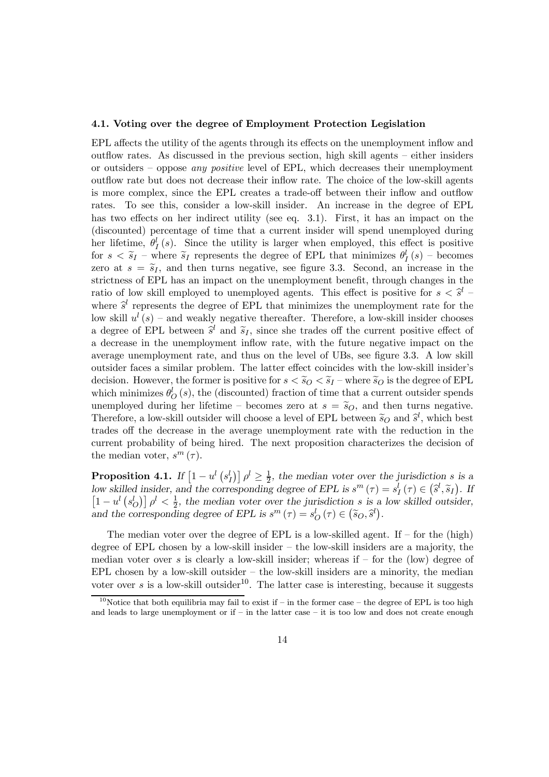#### 4.1. Voting over the degree of Employment Protection Legislation

EPL affects the utility of the agents through its effects on the unemployment inflow and outflow rates. As discussed in the previous section, high skill agents — either insiders or outsiders — oppose any positive level of EPL, which decreases their unemployment outflow rate but does not decrease their inflow rate. The choice of the low-skill agents is more complex, since the EPL creates a trade-off between their inflow and outflow rates. To see this, consider a low-skill insider. An increase in the degree of EPL has two effects on her indirect utility (see eq. 3.1). First, it has an impact on the (discounted) percentage of time that a current insider will spend unemployed during her lifetime,  $\theta_I^l(s)$ . Since the utility is larger when employed, this effect is positive for  $s < \tilde{s}_I$  – where  $\tilde{s}_I$  represents the degree of EPL that minimizes  $\theta_I^l(s)$  – becomes zero at  $s = \tilde{s}_I$ , and then turns negative, see figure 3.3. Second, an increase in the strictness of EPL has an impact on the unemployment benefit, through changes in the ratio of low skill employed to unemployed agents. This effect is positive for  $s < \hat{s}^l$ where  $\hat{s}^l$  represents the degree of EPL that minimizes the unemployment rate for the low skill  $u^{l}(s)$  – and weakly negative thereafter. Therefore, a low-skill insider chooses a degree of EPL between  $\hat{s}^l$  and  $\tilde{s}_I$ , since she trades off the current positive effect of a decrease in the unemployment inflow rate, with the future negative impact on the average unemployment rate, and thus on the level of UBs, see figure 3.3. A low skill outsider faces a similar problem. The latter effect coincides with the low-skill insider's decision. However, the former is positive for  $s < \widetilde{s}_Q < \widetilde{s}_I$  – where  $\widetilde{s}_Q$  is the degree of EPL which minimizes  $\theta_O^l(s)$ , the (discounted) fraction of time that a current outsider spends unemployed during her lifetime – becomes zero at  $s = \tilde{s}_O$ , and then turns negative. Therefore, a low-skill outsider will choose a level of EPL between  $\tilde{s}_O$  and  $\tilde{s}^l$ , which best trades off the decrease in the average unemployment rate with the reduction in the current probability of being hired. The next proposition characterizes the decision of the median voter,  $s^m(\tau)$ .

**Proposition 4.1.** If  $\left[1-u^l\left(s_l^l\right)\right]\rho^l\geq\frac{1}{2}$ , the median voter over the jurisdiction s is a low skilled insider, and the corresponding degree of EPL is  $s^m(\tau) = s_I^l(\tau) \in (\hat{s}^l, \tilde{s}_I)$ . If  $\left[1-u^l\left(s^l_{\mathcal{O}}\right)\right]\rho^l<\frac{1}{2}$ , the median voter over the jurisdiction s is a low skilled outsider, and the corresponding degree of EPL is  $s^m(\tau) = s_O^l(\tau) \in (\tilde{s}_O, \tilde{s}^l)$ .

The median voter over the degree of EPL is a low-skilled agent. If  $-$  for the (high) degree of EPL chosen by a low-skill insider — the low-skill insiders are a majority, the median voter over s is clearly a low-skill insider; whereas if  $-$  for the (low) degree of  $EPL$  chosen by a low-skill outsider  $-$  the low-skill insiders are a minority, the median voter over s is a low-skill outsider<sup>10</sup>. The latter case is interesting, because it suggests

<sup>&</sup>lt;sup>10</sup>Notice that both equilibria may fail to exist if – in the former case – the degree of EPL is too high and leads to large unemployment or if  $-$  in the latter case  $-$  it is too low and does not create enough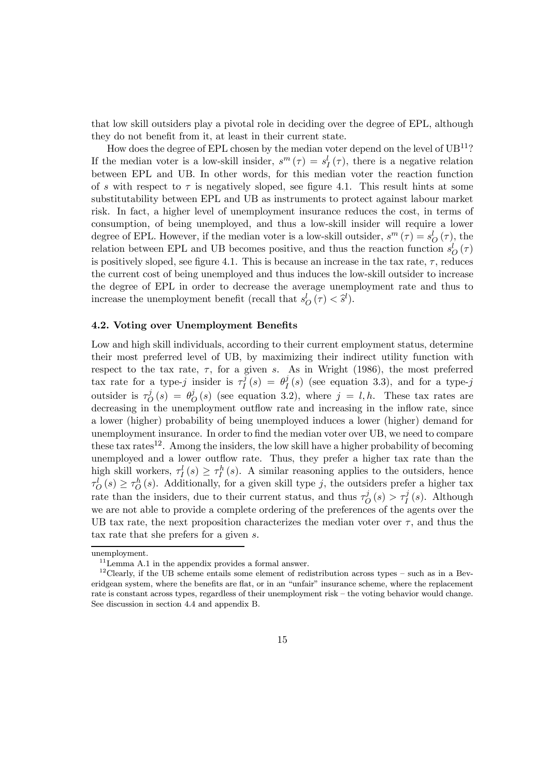that low skill outsiders play a pivotal role in deciding over the degree of EPL, although they do not benefit from it, at least in their current state.

How does the degree of EPL chosen by the median voter depend on the level of  $UB^{11}$ ? If the median voter is a low-skill insider,  $s^m(\tau) = s_I^l(\tau)$ , there is a negative relation between EPL and UB. In other words, for this median voter the reaction function of s with respect to  $\tau$  is negatively sloped, see figure 4.1. This result hints at some substitutability between EPL and UB as instruments to protect against labour market risk. In fact, a higher level of unemployment insurance reduces the cost, in terms of consumption, of being unemployed, and thus a low-skill insider will require a lower degree of EPL. However, if the median voter is a low-skill outsider,  $s^m(\tau) = s^l_0(\tau)$ , the relation between EPL and UB becomes positive, and thus the reaction function  $s_O^l(\tau)$ is positively sloped, see figure 4.1. This is because an increase in the tax rate,  $\tau$ , reduces the current cost of being unemployed and thus induces the low-skill outsider to increase the degree of EPL in order to decrease the average unemployment rate and thus to increase the unemployment benefit (recall that  $s_O^l(\tau) < \hat{s}^l$ ).

#### 4.2. Voting over Unemployment Benefits

Low and high skill individuals, according to their current employment status, determine their most preferred level of UB, by maximizing their indirect utility function with respect to the tax rate,  $\tau$ , for a given s. As in Wright (1986), the most preferred tax rate for a type-j insider is  $\tau_I^j(s) = \theta_I^j(s)$  (see equation 3.3), and for a type-j outsider is  $\tau_{\mathcal{O}}^{j}(s) = \theta_{\mathcal{O}}^{j}(s)$  (see equation 3.2), where  $j = l, h$ . These tax rates are decreasing in the unemployment outflow rate and increasing in the inflow rate, since a lower (higher) probability of being unemployed induces a lower (higher) demand for unemployment insurance. In order to find the median voter over UB, we need to compare these tax rates<sup>12</sup>. Among the insiders, the low skill have a higher probability of becoming unemployed and a lower outflow rate. Thus, they prefer a higher tax rate than the high skill workers,  $\tau_I^l(s) \geq \tau_I^h(s)$ . A similar reasoning applies to the outsiders, hence  $\tau_O^l(s) \geq \tau_O^h(s)$ . Additionally, for a given skill type j, the outsiders prefer a higher tax rate than the insiders, due to their current status, and thus  $\tau_Q^j(s) > \tau_I^j(s)$ . Although we are not able to provide a complete ordering of the preferences of the agents over the UB tax rate, the next proposition characterizes the median voter over  $\tau$ , and thus the tax rate that she prefers for a given s.

unemployment.

 $11$ <sub>Lemma</sub> A.1 in the appendix provides a formal answer.

 $12$ Clearly, if the UB scheme entails some element of redistribution across types – such as in a Beveridgean system, where the benefits are flat, or in an "unfair" insurance scheme, where the replacement rate is constant across types, regardless of their unemployment risk — the voting behavior would change. See discussion in section 4.4 and appendix B.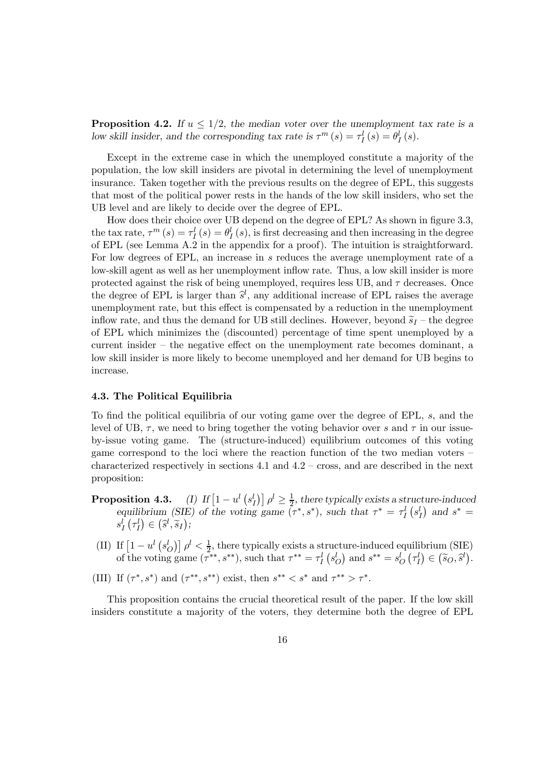**Proposition 4.2.** If  $u \leq 1/2$ , the median voter over the unemployment tax rate is a low skill insider, and the corresponding tax rate is  $\tau^m(s) = \tau_l^l(s) = \theta_l^l(s)$ .

Except in the extreme case in which the unemployed constitute a majority of the population, the low skill insiders are pivotal in determining the level of unemployment insurance. Taken together with the previous results on the degree of EPL, this suggests that most of the political power rests in the hands of the low skill insiders, who set the UB level and are likely to decide over the degree of EPL.

How does their choice over UB depend on the degree of EPL? As shown in figure 3.3, the tax rate,  $\tau^m(s) = \tau_I^l(s) = \theta_I^l(s)$ , is first decreasing and then increasing in the degree of EPL (see Lemma A.2 in the appendix for a proof). The intuition is straightforward. For low degrees of EPL, an increase in s reduces the average unemployment rate of a low-skill agent as well as her unemployment inflow rate. Thus, a low skill insider is more protected against the risk of being unemployed, requires less UB, and  $\tau$  decreases. Once the degree of EPL is larger than  $\hat{s}^l$ , any additional increase of EPL raises the average unemployment rate, but this effect is compensated by a reduction in the unemployment inflow rate, and thus the demand for UB still declines. However, beyond  $\tilde{s}_I$  – the degree of EPL which minimizes the (discounted) percentage of time spent unemployed by a current insider — the negative effect on the unemployment rate becomes dominant, a low skill insider is more likely to become unemployed and her demand for UB begins to increase.

#### 4.3. The Political Equilibria

To find the political equilibria of our voting game over the degree of EPL, s, and the level of UB,  $\tau$ , we need to bring together the voting behavior over s and  $\tau$  in our issueby-issue voting game. The (structure-induced) equilibrium outcomes of this voting game correspond to the loci where the reaction function of the two median voters characterized respectively in sections 4.1 and 4.2 — cross, and are described in the next proposition:

- **Proposition 4.3.** (I) If  $\left[1-u^l\left(s_l^l\right)\right]\rho^l\geq\frac{1}{2}$ , there typically exists a structure-induced equilibrium (SIE) of the voting game  $(\tau^*, s^*)$ , such that  $\tau^* = \tau_I^l (s_I^l)$  and  $s^* =$  $s_I^l\left(\tau_I^l\right) \in \left(\widehat{s}^l, \widetilde{s}_I\right);$
- (II) If  $\left[1-u^l\left(s_O^l\right)\right]\rho^l<\frac{1}{2}$ , there typically exists a structure-induced equilibrium (SIE) of the voting game  $(\tau^{**}, s^{**})$ , such that  $\tau^{**} = \tau_I^l \left( s_O^l \right)$  and  $s^{**} = s_O^l \left( \tau_I^l \right) \in (\tilde{s}_O, \tilde{s}^l)$ .
- (III) If  $(\tau^*, s^*)$  and  $(\tau^{**}, s^{**})$  exist, then  $s^{**} < s^*$  and  $\tau^{**} > \tau^*$ .

This proposition contains the crucial theoretical result of the paper. If the low skill insiders constitute a majority of the voters, they determine both the degree of EPL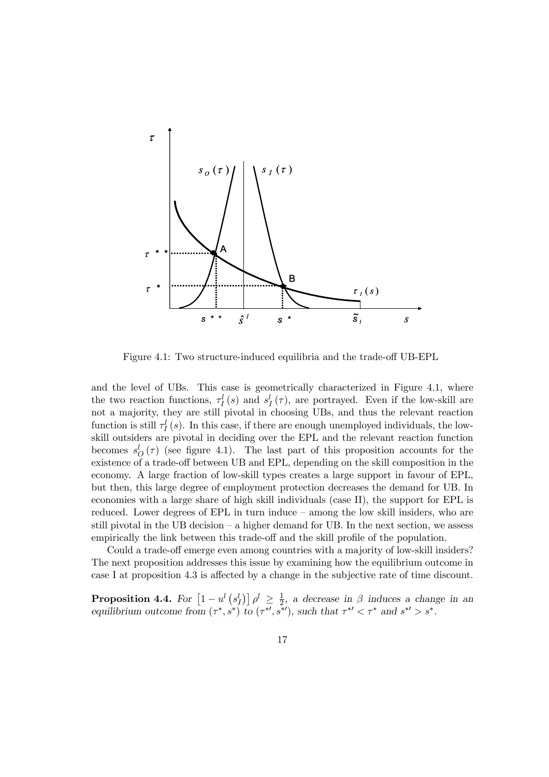

Figure 4.1: Two structure-induced equilibria and the trade-off UB-EPL

and the level of UBs. This case is geometrically characterized in Figure 4.1, where the two reaction functions,  $\tau_I^l(s)$  and  $s_I^l(\tau)$ , are portrayed. Even if the low-skill are not a majority, they are still pivotal in choosing UBs, and thus the relevant reaction function is still  $\tau_I^l(s)$ . In this case, if there are enough unemployed individuals, the lowskill outsiders are pivotal in deciding over the EPL and the relevant reaction function becomes  $s_O^l(\tau)$  (see figure 4.1). The last part of this proposition accounts for the existence of a trade-off between UB and EPL, depending on the skill composition in the economy. A large fraction of low-skill types creates a large support in favour of EPL, but then, this large degree of employment protection decreases the demand for UB. In economies with a large share of high skill individuals (case II), the support for EPL is reduced. Lower degrees of EPL in turn induce — among the low skill insiders, who are still pivotal in the UB decision — a higher demand for UB. In the next section, we assess empirically the link between this trade-off and the skill profile of the population.

Could a trade-off emerge even among countries with a majority of low-skill insiders? The next proposition addresses this issue by examining how the equilibrium outcome in case I at proposition 4.3 is affected by a change in the subjective rate of time discount.

**Proposition 4.4.** For  $\left[1-u^l\left(s_l^l\right)\right]\rho^l \geq \frac{1}{2}$ , a decrease in  $\beta$  induces a change in an equilibrium outcome from  $(\tau^*, s^*)$  to  $(\tau^{*\prime}, s^{*\prime})$ , such that  $\tau^{*\prime} < \tau^*$  and  $s^{*\prime} > s^*$ .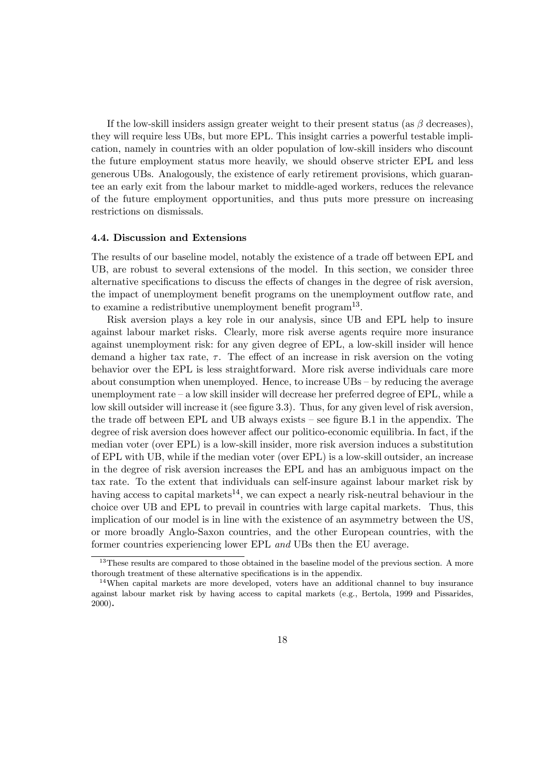If the low-skill insiders assign greater weight to their present status (as  $\beta$  decreases), they will require less UBs, but more EPL. This insight carries a powerful testable implication, namely in countries with an older population of low-skill insiders who discount the future employment status more heavily, we should observe stricter EPL and less generous UBs. Analogously, the existence of early retirement provisions, which guarantee an early exit from the labour market to middle-aged workers, reduces the relevance of the future employment opportunities, and thus puts more pressure on increasing restrictions on dismissals.

#### 4.4. Discussion and Extensions

The results of our baseline model, notably the existence of a trade off between EPL and UB, are robust to several extensions of the model. In this section, we consider three alternative specifications to discuss the effects of changes in the degree of risk aversion, the impact of unemployment benefit programs on the unemployment outflow rate, and to examine a redistributive unemployment benefit program<sup>13</sup>.

Risk aversion plays a key role in our analysis, since UB and EPL help to insure against labour market risks. Clearly, more risk averse agents require more insurance against unemployment risk: for any given degree of EPL, a low-skill insider will hence demand a higher tax rate,  $\tau$ . The effect of an increase in risk aversion on the voting behavior over the EPL is less straightforward. More risk averse individuals care more about consumption when unemployed. Hence, to increase UBs — by reducing the average unemployment rate — a low skill insider will decrease her preferred degree of EPL, while a low skill outsider will increase it (see figure 3.3). Thus, for any given level of risk aversion, the trade off between EPL and UB always exists — see figure B.1 in the appendix. The degree of risk aversion does however affect our politico-economic equilibria. In fact, if the median voter (over EPL) is a low-skill insider, more risk aversion induces a substitution of EPL with UB, while if the median voter (over EPL) is a low-skill outsider, an increase in the degree of risk aversion increases the EPL and has an ambiguous impact on the tax rate. To the extent that individuals can self-insure against labour market risk by having access to capital markets<sup>14</sup>, we can expect a nearly risk-neutral behaviour in the choice over UB and EPL to prevail in countries with large capital markets. Thus, this implication of our model is in line with the existence of an asymmetry between the US, or more broadly Anglo-Saxon countries, and the other European countries, with the former countries experiencing lower EPL and UBs then the EU average.

<sup>&</sup>lt;sup>13</sup>These results are compared to those obtained in the baseline model of the previous section. A more thorough treatment of these alternative specifications is in the appendix.

 $14$ When capital markets are more developed, voters have an additional channel to buy insurance against labour market risk by having access to capital markets (e.g., Bertola, 1999 and Pissarides, 2000).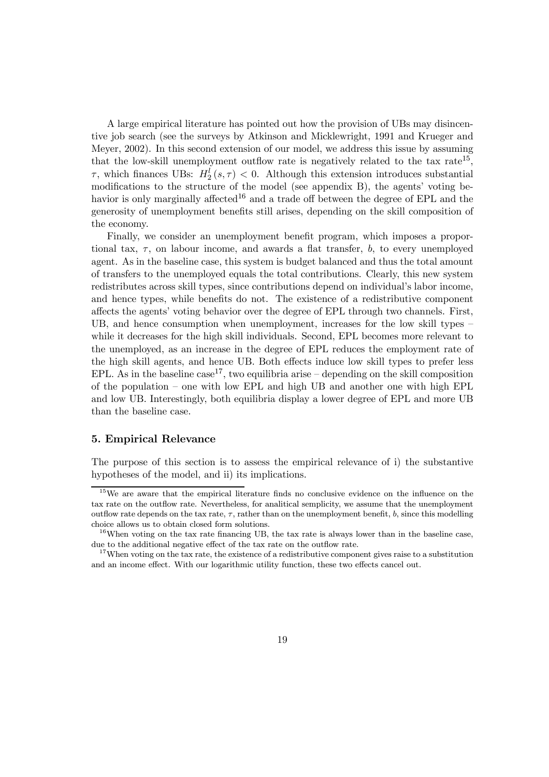A large empirical literature has pointed out how the provision of UBs may disincentive job search (see the surveys by Atkinson and Micklewright, 1991 and Krueger and Meyer, 2002). In this second extension of our model, we address this issue by assuming that the low-skill unemployment outflow rate is negatively related to the tax rate<sup>15</sup>,  $\tau$ , which finances UBs:  $H_2^l(s, \tau) < 0$ . Although this extension introduces substantial modifications to the structure of the model (see appendix B), the agents' voting behavior is only marginally affected<sup>16</sup> and a trade off between the degree of EPL and the generosity of unemployment benefits still arises, depending on the skill composition of the economy.

Finally, we consider an unemployment benefit program, which imposes a proportional tax,  $\tau$ , on labour income, and awards a flat transfer, b, to every unemployed agent. As in the baseline case, this system is budget balanced and thus the total amount of transfers to the unemployed equals the total contributions. Clearly, this new system redistributes across skill types, since contributions depend on individual's labor income, and hence types, while benefits do not. The existence of a redistributive component affects the agents' voting behavior over the degree of EPL through two channels. First, UB, and hence consumption when unemployment, increases for the low skill types while it decreases for the high skill individuals. Second, EPL becomes more relevant to the unemployed, as an increase in the degree of EPL reduces the employment rate of the high skill agents, and hence UB. Both effects induce low skill types to prefer less EPL. As in the baseline case<sup>17</sup>, two equilibria arise – depending on the skill composition of the population — one with low EPL and high UB and another one with high EPL and low UB. Interestingly, both equilibria display a lower degree of EPL and more UB than the baseline case.

#### 5. Empirical Relevance

The purpose of this section is to assess the empirical relevance of i) the substantive hypotheses of the model, and ii) its implications.

<sup>&</sup>lt;sup>15</sup>We are aware that the empirical literature finds no conclusive evidence on the influence on the tax rate on the outflow rate. Nevertheless, for analitical semplicity, we assume that the unemployment outflow rate depends on the tax rate,  $\tau$ , rather than on the unemployment benefit, b, since this modelling choice allows us to obtain closed form solutions.

 $16$ When voting on the tax rate financing UB, the tax rate is always lower than in the baseline case, due to the additional negative effect of the tax rate on the outflow rate.

 $17$ When voting on the tax rate, the existence of a redistributive component gives raise to a substitution and an income effect. With our logarithmic utility function, these two effects cancel out.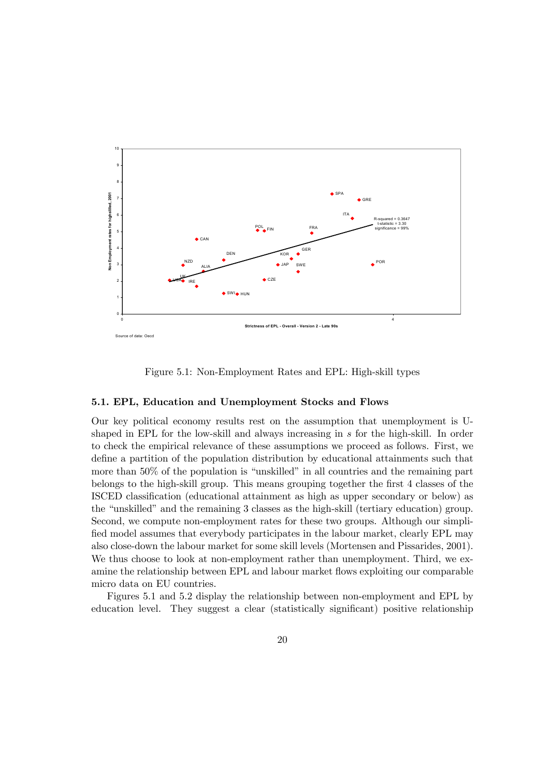

Figure 5.1: Non-Employment Rates and EPL: High-skill types

#### 5.1. EPL, Education and Unemployment Stocks and Flows

Our key political economy results rest on the assumption that unemployment is Ushaped in EPL for the low-skill and always increasing in s for the high-skill. In order to check the empirical relevance of these assumptions we proceed as follows. First, we define a partition of the population distribution by educational attainments such that more than 50% of the population is "unskilled" in all countries and the remaining part belongs to the high-skill group. This means grouping together the first 4 classes of the ISCED classification (educational attainment as high as upper secondary or below) as the "unskilled" and the remaining 3 classes as the high-skill (tertiary education) group. Second, we compute non-employment rates for these two groups. Although our simplified model assumes that everybody participates in the labour market, clearly EPL may also close-down the labour market for some skill levels (Mortensen and Pissarides, 2001). We thus choose to look at non-employment rather than unemployment. Third, we examine the relationship between EPL and labour market flows exploiting our comparable micro data on EU countries.

Figures 5.1 and 5.2 display the relationship between non-employment and EPL by education level. They suggest a clear (statistically significant) positive relationship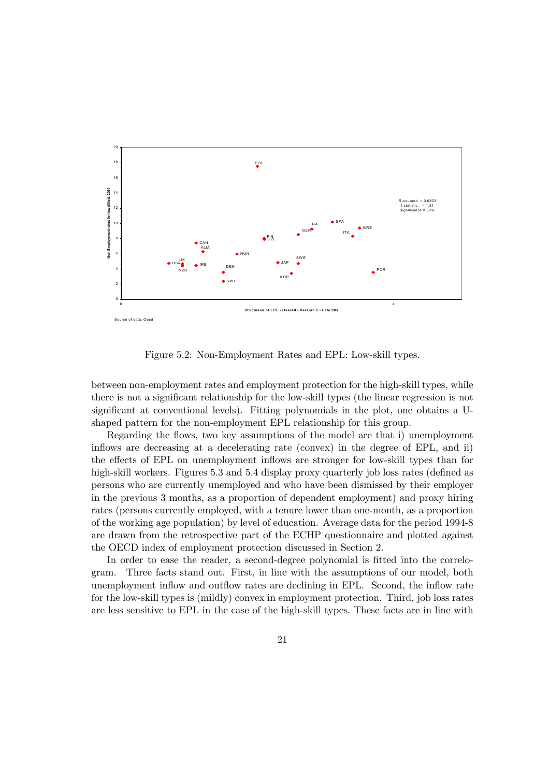

Figure 5.2: Non-Employment Rates and EPL: Low-skill types.

between non-employment rates and employment protection for the high-skill types, while there is not a significant relationship for the low-skill types (the linear regression is not significant at conventional levels). Fitting polynomials in the plot, one obtains a Ushaped pattern for the non-employment EPL relationship for this group.

Regarding the flows, two key assumptions of the model are that i) unemployment inflows are decreasing at a decelerating rate (convex) in the degree of EPL, and ii) the effects of EPL on unemployment inflows are stronger for low-skill types than for high-skill workers. Figures 5.3 and 5.4 display proxy quarterly job loss rates (defined as persons who are currently unemployed and who have been dismissed by their employer in the previous 3 months, as a proportion of dependent employment) and proxy hiring rates (persons currently employed, with a tenure lower than one-month, as a proportion of the working age population) by level of education. Average data for the period 1994-8 are drawn from the retrospective part of the ECHP questionnaire and plotted against the OECD index of employment protection discussed in Section 2.

In order to ease the reader, a second-degree polynomial is fitted into the correlogram. Three facts stand out. First, in line with the assumptions of our model, both unemployment inflow and outflow rates are declining in EPL. Second, the inflow rate for the low-skill types is (mildly) convex in employment protection. Third, job loss rates are less sensitive to EPL in the case of the high-skill types. These facts are in line with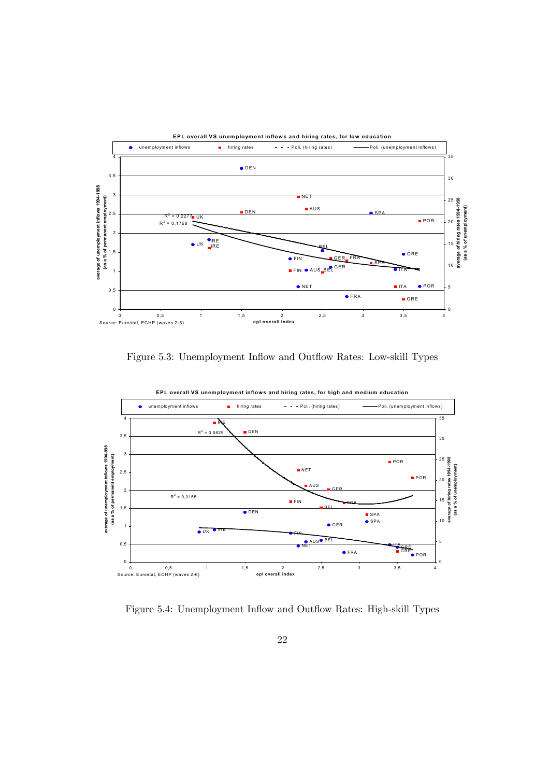

Figure 5.3: Unemployment Inflow and Outflow Rates: Low-skill Types



Figure 5.4: Unemployment Inflow and Outflow Rates: High-skill Types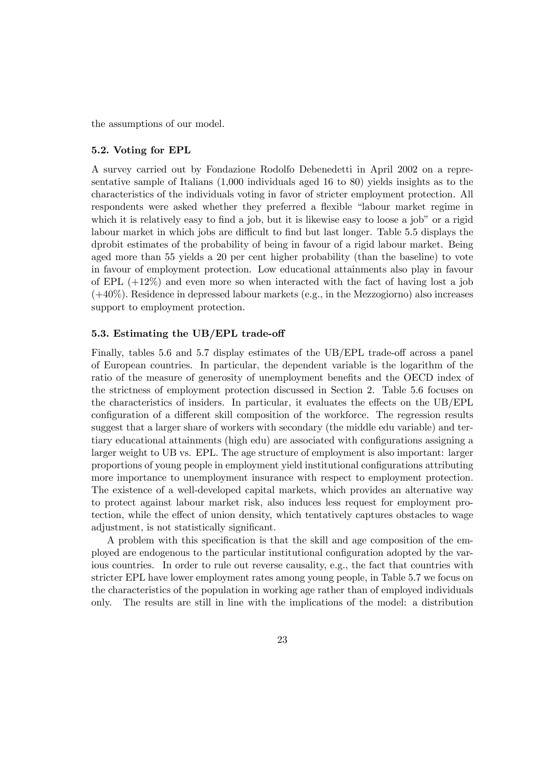the assumptions of our model.

#### 5.2. Voting for EPL

A survey carried out by Fondazione Rodolfo Debenedetti in April 2002 on a representative sample of Italians (1,000 individuals aged 16 to 80) yields insights as to the characteristics of the individuals voting in favor of stricter employment protection. All respondents were asked whether they preferred a flexible "labour market regime in which it is relatively easy to find a job, but it is likewise easy to loose a job" or a rigid labour market in which jobs are difficult to find but last longer. Table 5.5 displays the dprobit estimates of the probability of being in favour of a rigid labour market. Being aged more than 55 yields a 20 per cent higher probability (than the baseline) to vote in favour of employment protection. Low educational attainments also play in favour of EPL  $(+12\%)$  and even more so when interacted with the fact of having lost a job  $(+40\%)$ . Residence in depressed labour markets (e.g., in the Mezzogiorno) also increases support to employment protection.

#### 5.3. Estimating the UB/EPL trade-off

Finally, tables 5.6 and 5.7 display estimates of the UB/EPL trade-off across a panel of European countries. In particular, the dependent variable is the logarithm of the ratio of the measure of generosity of unemployment benefits and the OECD index of the strictness of employment protection discussed in Section 2. Table 5.6 focuses on the characteristics of insiders. In particular, it evaluates the effects on the UB/EPL configuration of a different skill composition of the workforce. The regression results suggest that a larger share of workers with secondary (the middle edu variable) and tertiary educational attainments (high edu) are associated with configurations assigning a larger weight to UB vs. EPL. The age structure of employment is also important: larger proportions of young people in employment yield institutional configurations attributing more importance to unemployment insurance with respect to employment protection. The existence of a well-developed capital markets, which provides an alternative way to protect against labour market risk, also induces less request for employment protection, while the effect of union density, which tentatively captures obstacles to wage adjustment, is not statistically significant.

A problem with this specification is that the skill and age composition of the employed are endogenous to the particular institutional configuration adopted by the various countries. In order to rule out reverse causality, e.g., the fact that countries with stricter EPL have lower employment rates among young people, in Table 5.7 we focus on the characteristics of the population in working age rather than of employed individuals only. The results are still in line with the implications of the model: a distribution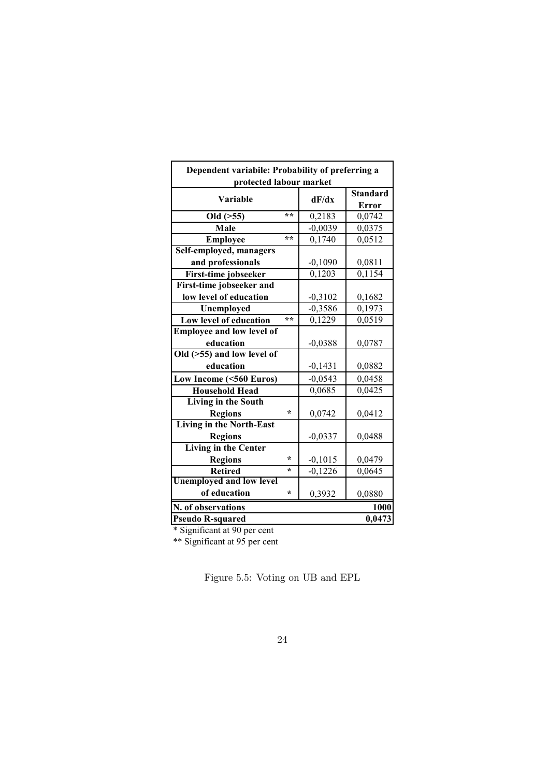| Dependent variabile: Probability of preferring a<br>protected labour market |  |                      |                 |
|-----------------------------------------------------------------------------|--|----------------------|-----------------|
| Variable                                                                    |  |                      | <b>Standard</b> |
|                                                                             |  | dF/dx                | Error           |
| **<br>Old ( > 55)                                                           |  | 0,2183               | 0,0742          |
| Male                                                                        |  | $\overline{-0,0039}$ | 0,0375          |
| $* *$<br><b>Employee</b>                                                    |  | 0,1740               | 0,0512          |
| Self-employed, managers                                                     |  |                      |                 |
| and professionals                                                           |  | $-0,1090$            | 0,0811          |
| First-time jobseeker                                                        |  | 0,1203               | 0,1154          |
| First-time jobseeker and                                                    |  |                      |                 |
| low level of education                                                      |  | $-0,3102$            | 0,1682          |
| Unemployed                                                                  |  | $-0,3586$            | 0,1973          |
| $**$<br>Low level of education                                              |  | 0,1229               | 0,0519          |
| <b>Employee and low level of</b>                                            |  |                      |                 |
| education                                                                   |  | $-0,0388$            | 0,0787          |
| Old $($ >55 $)$ and low level of                                            |  |                      |                 |
| education                                                                   |  | $-0,1431$            | 0,0882          |
| Low Income (<560 Euros)                                                     |  | $-0,0543$            | 0,0458          |
| <b>Household Head</b>                                                       |  | 0,0685               | 0,0425          |
| Living in the South                                                         |  |                      |                 |
| <b>Regions</b><br>÷                                                         |  | 0,0742               | 0,0412          |
| <b>Living in the North-East</b>                                             |  |                      |                 |
| <b>Regions</b>                                                              |  | $-0,0337$            | 0,0488          |
| Living in the Center                                                        |  |                      |                 |
| <b>Regions</b><br>$^\ast$                                                   |  | $-0,1015$            | 0,0479          |
| <b>Retired</b><br>$\star$                                                   |  | $-0,1226$            | 0,0645          |
| <b>Unemployed and low level</b>                                             |  |                      |                 |
| of education<br>$\star$                                                     |  | 0,3932               | 0,0880          |
| N. of observations                                                          |  |                      | 1000            |
| <b>Pseudo R-squared</b>                                                     |  |                      | 0,0473          |

\* Significant at 90 per cent

\*\* Significant at 95 per cent

Figure 5.5: Voting on UB and EPL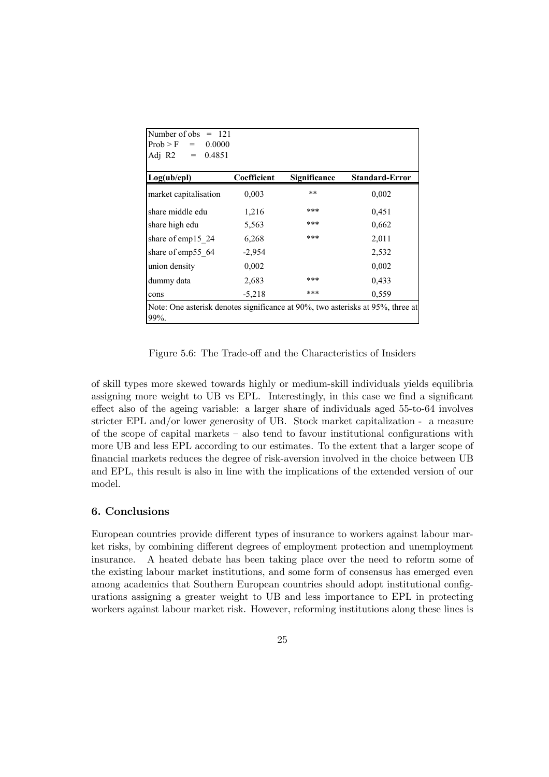| Number of obs $= 121$                                                          |             |                     |                       |
|--------------------------------------------------------------------------------|-------------|---------------------|-----------------------|
| $Prob > F = 0.0000$                                                            |             |                     |                       |
| Adj R2<br>$= 0.4851$                                                           |             |                     |                       |
|                                                                                |             |                     |                       |
| Log(ub/epl)                                                                    | Coefficient | <b>Significance</b> | <b>Standard-Error</b> |
| market capitalisation                                                          | 0,003       | $***$               | 0,002                 |
| share middle edu                                                               | 1,216       | ***                 | 0,451                 |
| share high edu                                                                 | 5,563       | ***                 | 0,662                 |
| share of emp15 24                                                              | 6,268       | ***                 | 2,011                 |
| share of emp55 64                                                              | $-2,954$    |                     | 2,532                 |
| union density                                                                  | 0,002       |                     | 0,002                 |
| dummy data                                                                     | 2,683       | ***                 | 0,433                 |
| cons                                                                           | $-5,218$    | ***                 | 0,559                 |
| Note: One asterisk denotes significance at 90%, two asterisks at 95%, three at |             |                     |                       |
| 99%.                                                                           |             |                     |                       |

Figure 5.6: The Trade-off and the Characteristics of Insiders

of skill types more skewed towards highly or medium-skill individuals yields equilibria assigning more weight to UB vs EPL. Interestingly, in this case we find a significant effect also of the ageing variable: a larger share of individuals aged 55-to-64 involves stricter EPL and/or lower generosity of UB. Stock market capitalization - a measure of the scope of capital markets — also tend to favour institutional configurations with more UB and less EPL according to our estimates. To the extent that a larger scope of financial markets reduces the degree of risk-aversion involved in the choice between UB and EPL, this result is also in line with the implications of the extended version of our model.

#### 6. Conclusions

European countries provide different types of insurance to workers against labour market risks, by combining different degrees of employment protection and unemployment insurance. A heated debate has been taking place over the need to reform some of the existing labour market institutions, and some form of consensus has emerged even among academics that Southern European countries should adopt institutional configurations assigning a greater weight to UB and less importance to EPL in protecting workers against labour market risk. However, reforming institutions along these lines is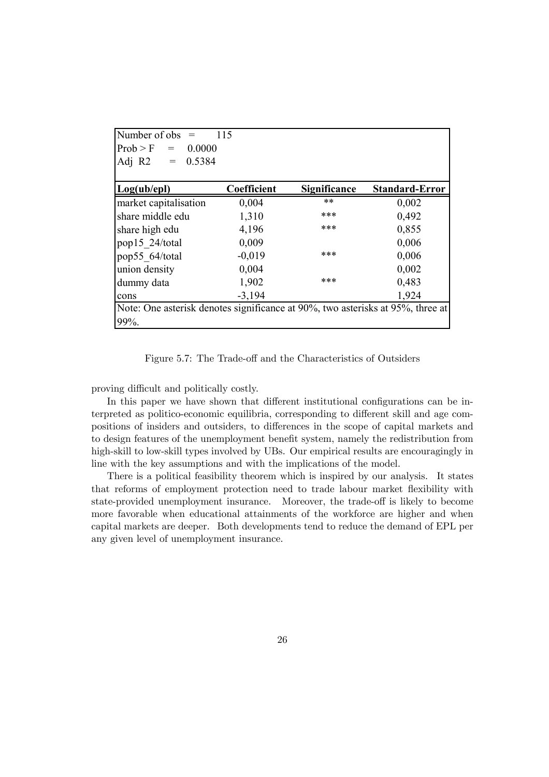| Number of obs<br>$=$                                                           | 115         |                     |                       |
|--------------------------------------------------------------------------------|-------------|---------------------|-----------------------|
| Prob > F<br>0.0000<br>$\!\!\!=\!\!\!\!$                                        |             |                     |                       |
| Adj R2<br>0.5384<br>$=$                                                        |             |                     |                       |
| Log(ub/epl)                                                                    | Coefficient | <b>Significance</b> | <b>Standard-Error</b> |
| market capitalisation                                                          | 0,004       | **                  | 0,002                 |
| share middle edu                                                               | 1,310       | ***                 | 0,492                 |
| share high edu                                                                 | 4,196       | ***                 | 0,855                 |
| pop15 24/total                                                                 | 0,009       |                     | 0,006                 |
| pop55 64/total                                                                 | $-0,019$    | ***                 | 0,006                 |
| union density                                                                  | 0,004       |                     | 0,002                 |
| dummy data                                                                     | 1,902       | ***                 | 0,483                 |
| cons                                                                           | $-3,194$    |                     | 1,924                 |
| Note: One asterisk denotes significance at 90%, two asterisks at 95%, three at |             |                     |                       |
| 99%.                                                                           |             |                     |                       |

Figure 5.7: The Trade-off and the Characteristics of Outsiders

proving difficult and politically costly.

In this paper we have shown that different institutional configurations can be interpreted as politico-economic equilibria, corresponding to different skill and age compositions of insiders and outsiders, to differences in the scope of capital markets and to design features of the unemployment benefit system, namely the redistribution from high-skill to low-skill types involved by UBs. Our empirical results are encouragingly in line with the key assumptions and with the implications of the model.

There is a political feasibility theorem which is inspired by our analysis. It states that reforms of employment protection need to trade labour market flexibility with state-provided unemployment insurance. Moreover, the trade-off is likely to become more favorable when educational attainments of the workforce are higher and when capital markets are deeper. Both developments tend to reduce the demand of EPL per any given level of unemployment insurance.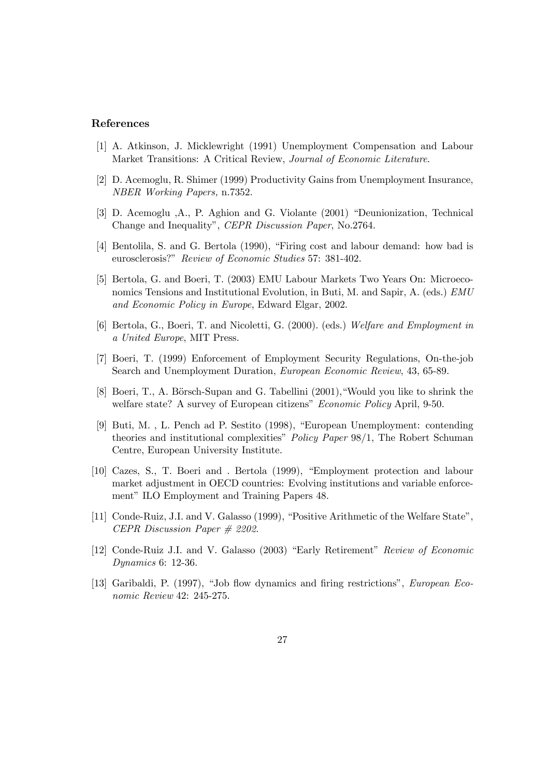#### References

- [1] A. Atkinson, J. Micklewright (1991) Unemployment Compensation and Labour Market Transitions: A Critical Review, Journal of Economic Literature.
- [2] D. Acemoglu, R. Shimer (1999) Productivity Gains from Unemployment Insurance, NBER Working Papers, n.7352.
- [3] D. Acemoglu ,A., P. Aghion and G. Violante (2001) "Deunionization, Technical Change and Inequality", CEPR Discussion Paper, No.2764.
- [4] Bentolila, S. and G. Bertola (1990), "Firing cost and labour demand: how bad is eurosclerosis?" Review of Economic Studies 57: 381-402.
- [5] Bertola, G. and Boeri, T. (2003) EMU Labour Markets Two Years On: Microeconomics Tensions and Institutional Evolution, in Buti, M. and Sapir, A. (eds.) EMU and Economic Policy in Europe, Edward Elgar, 2002.
- [6] Bertola, G., Boeri, T. and Nicoletti, G. (2000). (eds.) Welfare and Employment in a United Europe, MIT Press.
- [7] Boeri, T. (1999) Enforcement of Employment Security Regulations, On-the-job Search and Unemployment Duration, European Economic Review, 43, 65-89.
- [8] Boeri, T., A. Börsch-Supan and G. Tabellini (2001), "Would you like to shrink the welfare state? A survey of European citizens" *Economic Policy* April, 9-50.
- [9] Buti, M. , L. Pench ad P. Sestito (1998), "European Unemployment: contending theories and institutional complexities" Policy Paper 98/1, The Robert Schuman Centre, European University Institute.
- [10] Cazes, S., T. Boeri and . Bertola (1999), "Employment protection and labour market adjustment in OECD countries: Evolving institutions and variable enforcement" ILO Employment and Training Papers 48.
- [11] Conde-Ruiz, J.I. and V. Galasso (1999), "Positive Arithmetic of the Welfare State", CEPR Discussion Paper # 2202.
- [12] Conde-Ruiz J.I. and V. Galasso (2003) "Early Retirement" Review of Economic Dynamics 6: 12-36.
- [13] Garibaldi, P. (1997), "Job flow dynamics and firing restrictions", European Economic Review 42: 245-275.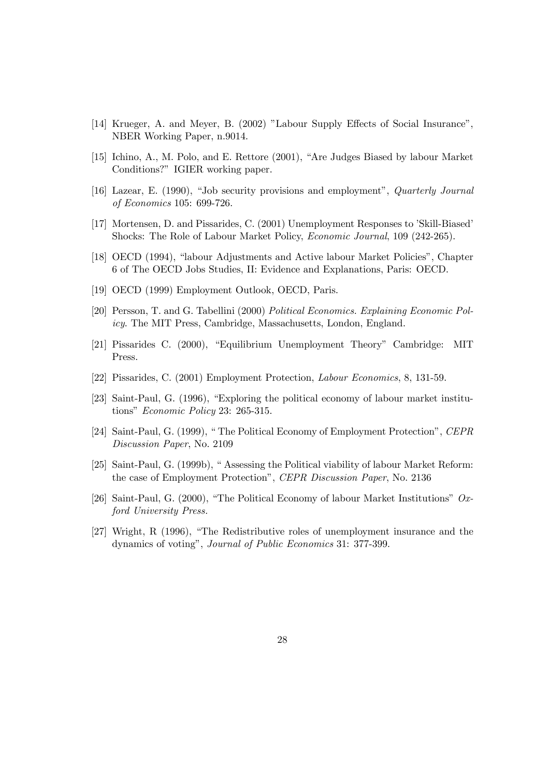- [14] Krueger, A. and Meyer, B. (2002) "Labour Supply Effects of Social Insurance", NBER Working Paper, n.9014.
- [15] Ichino, A., M. Polo, and E. Rettore (2001), "Are Judges Biased by labour Market Conditions?" IGIER working paper.
- [16] Lazear, E. (1990), "Job security provisions and employment", *Quarterly Journal* of Economics 105: 699-726.
- [17] Mortensen, D. and Pissarides, C. (2001) Unemployment Responses to 'Skill-Biased' Shocks: The Role of Labour Market Policy, Economic Journal, 109 (242-265).
- [18] OECD (1994), "labour Adjustments and Active labour Market Policies", Chapter 6 of The OECD Jobs Studies, II: Evidence and Explanations, Paris: OECD.
- [19] OECD (1999) Employment Outlook, OECD, Paris.
- [20] Persson, T. and G. Tabellini (2000) Political Economics. Explaining Economic Policy. The MIT Press, Cambridge, Massachusetts, London, England.
- [21] Pissarides C. (2000), "Equilibrium Unemployment Theory" Cambridge: MIT Press.
- [22] Pissarides, C. (2001) Employment Protection, Labour Economics, 8, 131-59.
- [23] Saint-Paul, G. (1996), "Exploring the political economy of labour market institutions" Economic Policy 23: 265-315.
- [24] Saint-Paul, G. (1999), " The Political Economy of Employment Protection", CEPR Discussion Paper, No. 2109
- [25] Saint-Paul, G. (1999b), " Assessing the Political viability of labour Market Reform: the case of Employment Protection", CEPR Discussion Paper, No. 2136
- [26] Saint-Paul, G. (2000), "The Political Economy of labour Market Institutions" Oxford University Press.
- [27] Wright, R (1996), "The Redistributive roles of unemployment insurance and the dynamics of voting", Journal of Public Economics 31: 377-399.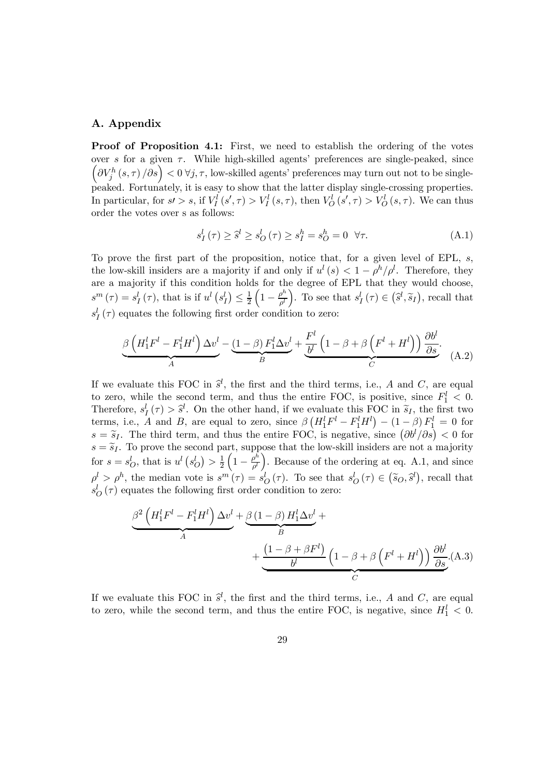#### A. Appendix

Proof of Proposition 4.1: First, we need to establish the ordering of the votes over s for a given  $\tau$ . While high-skilled agents' preferences are single-peaked, since  $\left(\partial V_j^h(s,\tau)/\partial s\right) < 0 \,\forall j,\tau$ , low-skilled agents' preferences may turn out not to be singlepeaked. Fortunately, it is easy to show that the latter display single-crossing properties. In particular, for  $s > s$ , if  $V_I^l(s', \tau) > V_I^l(s, \tau)$ , then  $V_O^l(s', \tau) > V_O^l(s, \tau)$ . We can thus order the votes over s as follows:

$$
s_I^l(\tau) \ge \hat{s}^l \ge s_O^l(\tau) \ge s_I^h = s_O^h = 0 \quad \forall \tau.
$$
 (A.1)

To prove the first part of the proposition, notice that, for a given level of EPL, s, the low-skill insiders are a majority if and only if  $u^{l}(s) < 1 - \rho^{h} / \rho^{l}$ . Therefore, they are a majority if this condition holds for the degree of EPL that they would choose,  $s^{m}(\tau) = s_{I}^{l}(\tau)$ , that is if  $u^{l} (s_{I}^{l}) \leq \frac{1}{2}$  $\left(1-\frac{\rho^h}{\rho^l}\right)$ ). To see that  $s_I^l(\tau) \in (\hat{s}^l, \tilde{s}_I)$ , recall that  $s_I^l(\tau)$  equates the following first order condition to zero:

$$
\underbrace{\beta\left(H_1^lF^l - F_1^lH^l\right)\Delta v^l}_{A} - \underbrace{(1-\beta) F_1^l\Delta v^l}_{B} + \underbrace{\frac{F^l}{b^l}\left(1-\beta+\beta\left(F^l + H^l\right)\right)\frac{\partial b^l}{\partial s}}_{C}.
$$
 (A.2)

If we evaluate this FOC in  $\hat{s}^l$ , the first and the third terms, i.e., A and C, are equal to zero, while the second term, and thus the entire FOC, is positive, since  $F_1^l < 0$ . Therefore,  $s_I^l(\tau) > \hat{s}^l$ . On the other hand, if we evaluate this FOC in  $\tilde{s}_I$ , the first two terms, i.e., A and B, are equal to zero, since  $\beta \left( H_1^l F^l - F_1^l H^l \right) - (1 - \beta) F_1^l = 0$  for  $s = \tilde{s}_I$ . The third term, and thus the entire FOC, is negative, since  $(\partial b^I/\partial s) < 0$  for  $s = \tilde{s}_I$ . To prove the second part, suppose that the low-skill insiders are not a majority for  $s = s_O^l$ , that is  $u^l (s_O^l) > \frac{1}{2}$  $\left(1-\frac{\rho^h}{\rho^l}\right)$ ). Because of the ordering at eq. A.1, and since  $\rho^l > \rho^h$ , the median vote is  $s^m(\tau) = s_O^l(\tau)$ . To see that  $s_O^l(\tau) \in (\tilde{s}_O, \tilde{s}^l)$ , recall that  $s_O^l(\tau)$  equates the following first order condition to zero:

$$
\underbrace{\beta^2 \left( H_1^l F^l - F_1^l H^l \right) \Delta v^l}_{A} + \underbrace{\beta \left( 1 - \beta \right) H_1^l \Delta v^l}_{B} + \underbrace{\left( 1 - \beta + \beta F^l \right)}_{C} \left( 1 - \beta + \beta \left( F^l + H^l \right) \right) \frac{\partial b^l}{\partial s}}_{C} (A.3)
$$

If we evaluate this FOC in  $\hat{s}^l$ , the first and the third terms, i.e., A and C, are equal the set of the set of  $\hat{s}^l$ to zero, while the second term, and thus the entire FOC, is negative, since  $H_1^l < 0$ .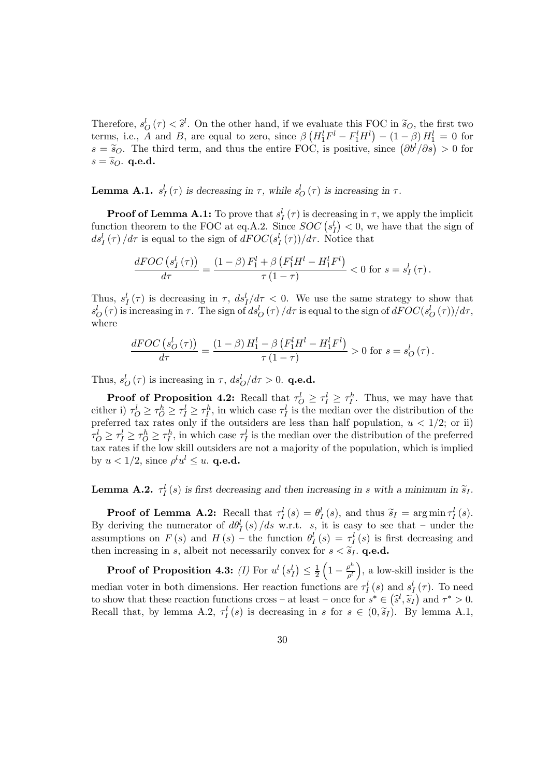Therefore,  $s_Q^l(\tau) < \hat{s}^l$ . On the other hand, if we evaluate this FOC in  $\tilde{s}_Q$ , the first two terms, i.e., A and B, are equal to zero, since  $\beta \left( H_1^l F^l - F_1^l H^l \right) - (1 - \beta) H_1^l = 0$  for  $s = \tilde{s}_Q$ . The third term, and thus the entire FOC, is positive, since  $(\partial b^i/\partial s) > 0$  for  $s = \widetilde{s}_O$ . q.e.d.

**Lemma A.1.**  $s_I^l(\tau)$  is decreasing in  $\tau$ , while  $s_O^l(\tau)$  is increasing in  $\tau$ .

**Proof of Lemma A.1:** To prove that  $s_I^l(\tau)$  is decreasing in  $\tau$ , we apply the implicit function theorem to the FOC at eq.A.2. Since  $SOC(s_I^l) < 0$ , we have that the sign of  $ds_I^l(\tau)/d\tau$  is equal to the sign of  $dFOC(s_I^l(\tau))/d\tau$ . Notice that

$$
\frac{dFOC\left(s_I^l\left(\tau\right)\right)}{d\tau} = \frac{\left(1-\beta\right)F_1^l + \beta\left(F_1^l H^l - H_1^l F^l\right)}{\tau\left(1-\tau\right)} < 0 \text{ for } s = s_I^l\left(\tau\right).
$$

Thus,  $s_I^l(\tau)$  is decreasing in  $\tau$ ,  $ds_I^l/d\tau < 0$ . We use the same strategy to show that  $s_O^l(\tau)$  is increasing in  $\tau$ . The sign of  $ds_O^l(\tau)/d\tau$  is equal to the sign of  $dFOC(s_O^l(\tau))/d\tau$ , where

$$
\frac{dFOC\left(s_O^l\left(\tau\right)\right)}{d\tau} = \frac{\left(1-\beta\right)H_1^l - \beta\left(F_1^l H^l - H_1^l F^l\right)}{\tau\left(1-\tau\right)} > 0 \text{ for } s = s_O^l\left(\tau\right).
$$

Thus,  $s_O^l(\tau)$  is increasing in  $\tau$ ,  $ds_O^l/d\tau > 0$ . **q.e.d.** 

**Proof of Proposition 4.2:** Recall that  $\tau_O^l \geq \tau_I^l \geq \tau_I^h$ . Thus, we may have that either i)  $\tau_O^l \ge \tau_O^h \ge \tau_I^l \ge \tau_I^h$ , in which case  $\tau_I^l$  is the median over the distribution of the preferred tax rates only if the outsiders are less than half population,  $u < 1/2$ ; or ii)  $\tau_O^l \geq \tau_I^l \geq \tau_O^h \geq \tau_I^h$ , in which case  $\tau_I^l$  is the median over the distribution of the preferred tax rates if the low skill outsiders are not a majority of the population, which is implied by  $u < 1/2$ , since  $\rho^l u^l \leq u$ . **q.e.d.** 

**Lemma A.2.**  $\tau_I^l(s)$  is first decreasing and then increasing in s with a minimum in  $\tilde{s}_I$ .

**Proof of Lemma A.2:** Recall that  $\tau_I^l(s) = \theta_I^l(s)$ , and thus  $\tilde{s}_I = \arg \min \tau_I^l(s)$ . By deriving the numerator of  $d\theta_I^l(s)/ds$  w.r.t. s, it is easy to see that – under the assumptions on  $F(s)$  and  $H(s)$  – the function  $\theta_I^l(s) = \tau_I^l(s)$  is first decreasing and then increasing in s, albeit not necessarily convex for  $s < \tilde{s}_I$ . **q.e.d.** 

**Proof of Proposition 4.3:** (I) For  $u^l\left(s^l_I\right) \leq \frac{1}{2}$  $\left(1-\frac{\rho^h}{\rho^l}\right)$ ), a low-skill insider is the median voter in both dimensions. Her reaction functions are  $\tau_I^l(s)$  and  $s_I^l(\tau)$ . To need to show that these reaction functions cross – at least – once for  $s^* \in (\hat{s}^l, \tilde{s}_l)$  and  $\tau^* > 0$ . Recall that, by lemma A.2,  $\tau_I^l(s)$  is decreasing in s for  $s \in (0, \tilde{s}_I)$ . By lemma A.1,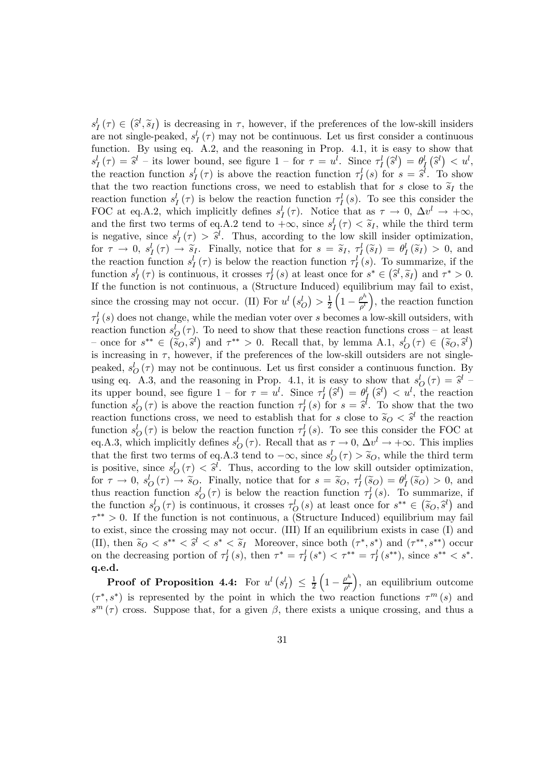$s_I^l(\tau) \in (\hat{s}^l, \tilde{s}_I)$  is decreasing in  $\tau$ , however, if the preferences of the low-skill insiders are not single-peaked,  $s_I^l(\tau)$  may not be continuous. Let us first consider a continuous function. By using eq. A.2, and the reasoning in Prop. 4.1, it is easy to show that  $s_l^l(\tau) = \hat{s}^l$  – its lower bound, see figure  $1 -$  for  $\tau = u^l$ . Since  $\tau_l^l(\hat{s}^l) = \theta_l^l(\hat{s}^l) < u^l$ , the reaction function  $s_l^l(\tau)$  is above the reaction function  $\tau_l^l(s)$  for  $s = \hat{s}^l$ . To show that the two reaction functions cross, we need to establish that for s close to  $\tilde{s}_I$  the reaction function  $s_I^l(\tau)$  is below the reaction function  $\tau_I^l(s)$ . To see this consider the FOC at eq.A.2, which implicitly defines  $s_I^l(\tau)$ . Notice that as  $\tau \to 0$ ,  $\Delta v^l \to +\infty$ , and the first two terms of eq.A.2 tend to  $+\infty$ , since  $s_I^l(\tau) < \tilde{s}_I$ , while the third term is negative, since  $s_I^l(\tau) > \hat{s}^l$ . Thus, according to the low skill insider optimization, for  $\tau \to 0$ ,  $s_I^l(\tau) \to \tilde{s}_I$ . Finally, notice that for  $s = \tilde{s}_I$ ,  $\tau_I^l(\tilde{s}_I) = \theta_I^l(\tilde{s}_I) > 0$ , and the reaction function  $s_I^l(\tau)$  is below the reaction function  $\tau_I^l(s)$ . To summarize, if the function  $s_I^l(\tau)$  is continuous, it crosses  $\tau_I^l(s)$  at least once for  $s^* \in (\hat{s}^l, \tilde{s}_I)$  and  $\tau^* > 0$ . If the function is not continuous, a (Structure Induced) equilibrium may fail to exist, since the crossing may not occur. (II) For  $u^l(s_Q^l) > \frac{1}{2}$  $\left(1-\frac{\rho^h}{\rho^l}\right)$ ), the reaction function  $\tau_I^l(s)$  does not change, while the median voter over s becomes a low-skill outsiders, with reaction function  $s_O^l(\tau)$ . To need to show that these reaction functions cross – at least – once for  $s^{**} \in (\tilde{s}_O, \tilde{s}^l)$  and  $\tau^{**} > 0$ . Recall that, by lemma A.1,  $s_O^l(\tau) \in (\tilde{s}_O, \tilde{s}^l)$ is increasing in  $\tau$ , however, if the preferences of the low-skill outsiders are not singlepeaked,  $s_O^l(\tau)$  may not be continuous. Let us first consider a continuous function. By using eq. A.3, and the reasoning in Prop. 4.1, it is easy to show that  $s_0^l(\tau) = \hat{s}^l$ its upper bound, see figure  $1 -$  for  $\tau = u^l$ . Since  $\tau^l_i(\hat{s}^l) = \theta^l_i(\hat{s}^l) < u^l$ , the reaction function  $s_0^l(\tau)$  is above the reaction function  $\tau_l^l(s)$  for  $s = \hat{s}^l$ . To show that the two reaction functions cross, we need to establish that for s close to  $\tilde{s}_O < \tilde{s}^l$  the reaction function  $s_O^l(\tau)$  is below the reaction function  $\tau_I^l(s)$ . To see this consider the FOC at eq.A.3, which implicitly defines  $s_O^l(\tau)$ . Recall that as  $\tau \to 0$ ,  $\Delta v^l \to +\infty$ . This implies that the first two terms of eq.A.3 tend to  $-\infty$ , since  $s_0^l(\tau) > \widetilde{s}_0$ , while the third term is positive, since  $s_0^l(\tau) < \hat{s}^l$ . Thus, according to the low skill outsider optimization, for  $\tau \to 0$ ,  $s_0^l(\tau) \to \tilde{s}_0$ . Finally, notice that for  $s = \tilde{s}_0$ ,  $\tau_l^l(\tilde{s}_0) = \theta_l^l(\tilde{s}_0) > 0$ , and thus reaction function  $s_O^l(\tau)$  is below the reaction function  $\tau_I^l(s)$ . To summarize, if the function  $s_0^l(\tau)$  is continuous, it crosses  $\tau_0^l(s)$  at least once for  $s^{**} \in (\tilde{s}_O, \tilde{s}^l)$  and  $\tilde{s}^{**} \geq 0$ . If the function is the set of  $\tilde{s}^{**}$ .  $\tau^{**} > 0$ . If the function is not continuous, a (Structure Induced) equilibrium may fail to exist, since the crossing may not occur. (III) If an equilibrium exists in case (I) and (II), then  $\widetilde{s}_O < s^{**} < \widetilde{s}' < s^* < \widetilde{s}_I$  Moreover, since both  $(\tau^*, s^*)$  and  $(\tau^{**}, s^{**})$  occur on the decreasing portion of  $\tau_I^l(s)$ , then  $\tau^* = \tau_I^l(s^*) < \tau^{**} = \tau_I^l(s^{**})$ , since  $s^{**} < s^*$ . q.e.d.

**Proof of Proposition 4.4:** For  $u^l(s_I^l) \leq \frac{1}{2}$  $\left(1-\frac{\rho^h}{\rho^l}\right)$ ), an equilibrium outcome  $(\tau^*, s^*)$  is represented by the point in which the two reaction functions  $\tau^m(s)$  and  $s^{m}(\tau)$  cross. Suppose that, for a given  $\beta$ , there exists a unique crossing, and thus a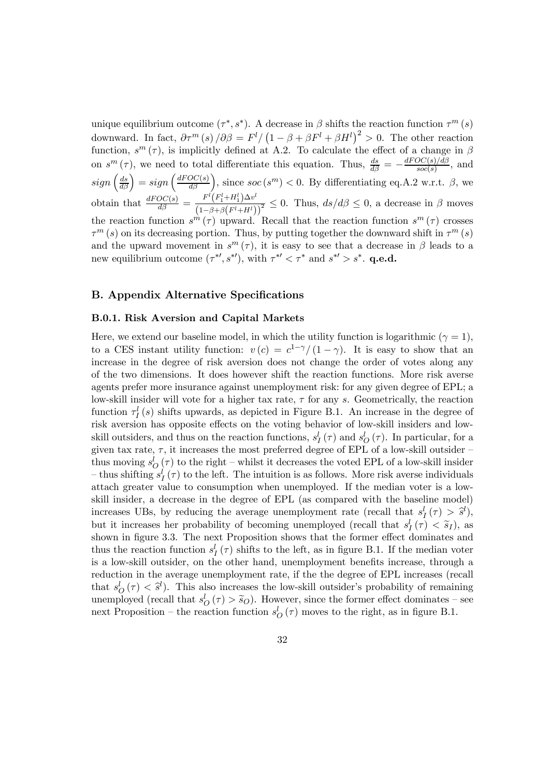unique equilibrium outcome  $(\tau^*, s^*)$ . A decrease in  $\beta$  shifts the reaction function  $\tau^m(s)$ downward. In fact,  $\partial \tau^m(s)/\partial \beta = F^l / (1 - \beta + \beta F^l + \beta H^l)^2 > 0$ . The other reaction function,  $s^{m}(\tau)$ , is implicitly defined at A.2. To calculate the effect of a change in  $\beta$ on  $s^m(\tau)$ , we need to total differentiate this equation. Thus,  $\frac{ds}{d\beta} = -\frac{dFOC(s)/d\beta}{soc(s)}$ , and  $sign\left(\frac{ds}{d\beta}\right) = sign\left(\frac{dFOC(s)}{d\beta}\right)$ , since  $soc(s^m) < 0$ . By differentiating eq.A.2 w.r.t.  $\beta$ , we obtain that  $\frac{dFOC(s)}{d\beta} = \frac{F^l(F_1^l + H_1^l)\Delta v^l}{(1 - \beta + \beta(F^l + H^l))}$  $\frac{F\left(1+\mu_1\right)\Delta\sigma}{\left(1-\beta+\beta\left(F^l+H^l\right)\right)^2} \leq 0$ . Thus,  $ds/d\beta \leq 0$ , a decrease in  $\beta$  moves the reaction function  $s^m(\tau)$  upward. Recall that the reaction function  $s^m(\tau)$  crosses  $\tau^m(s)$  on its decreasing portion. Thus, by putting together the downward shift in  $\tau^m(s)$ and the upward movement in  $s^m(\tau)$ , it is easy to see that a decrease in  $\beta$  leads to a new equilibrium outcome  $(\tau^{*}, s^{*})$ , with  $\tau^{*} < \tau^{*}$  and  $s^{*} > s^{*}$ . **q.e.d.** 

#### B. Appendix Alternative Specifications

#### B.0.1. Risk Aversion and Capital Markets

Here, we extend our baseline model, in which the utility function is logarithmic ( $\gamma = 1$ ), to a CES instant utility function:  $v(c) = c^{1-\gamma}/(1-\gamma)$ . It is easy to show that an increase in the degree of risk aversion does not change the order of votes along any of the two dimensions. It does however shift the reaction functions. More risk averse agents prefer more insurance against unemployment risk: for any given degree of EPL; a low-skill insider will vote for a higher tax rate,  $\tau$  for any s. Geometrically, the reaction function  $\tau_I^l(s)$  shifts upwards, as depicted in Figure B.1. An increase in the degree of risk aversion has opposite effects on the voting behavior of low-skill insiders and lowskill outsiders, and thus on the reaction functions,  $s_I^l(\tau)$  and  $s_O^l(\tau)$ . In particular, for a given tax rate,  $\tau$ , it increases the most preferred degree of EPL of a low-skill outsider – thus moving  $s_O^l(\tau)$  to the right – whilst it decreases the voted EPL of a low-skill insider - thus shifting  $s_I^l(\tau)$  to the left. The intuition is as follows. More risk averse individuals attach greater value to consumption when unemployed. If the median voter is a lowskill insider, a decrease in the degree of EPL (as compared with the baseline model) increases UBs, by reducing the average unemployment rate (recall that  $s_I^l(\tau) > \hat{s}^l$ ), but it increases her probability of becoming unemployed (recall that  $s_I^l(\tau) < \tilde{s}_I$ ), as shown in figure 3.3. The next Proposition shows that the former effect dominates and thus the reaction function  $s_I^l(\tau)$  shifts to the left, as in figure B.1. If the median voter is a low-skill outsider, on the other hand, unemployment benefits increase, through a reduction in the average unemployment rate, if the the degree of EPL increases (recall that  $s_Q^l(\tau) < \hat{s}^l$ . This also increases the low-skill outsider's probability of remaining unemployed (recall that  $s_O^l(\tau) > \tilde{s}_O$ ). However, since the former effect dominates – see next Proposition – the reaction function  $s_O^l(\tau)$  moves to the right, as in figure B.1.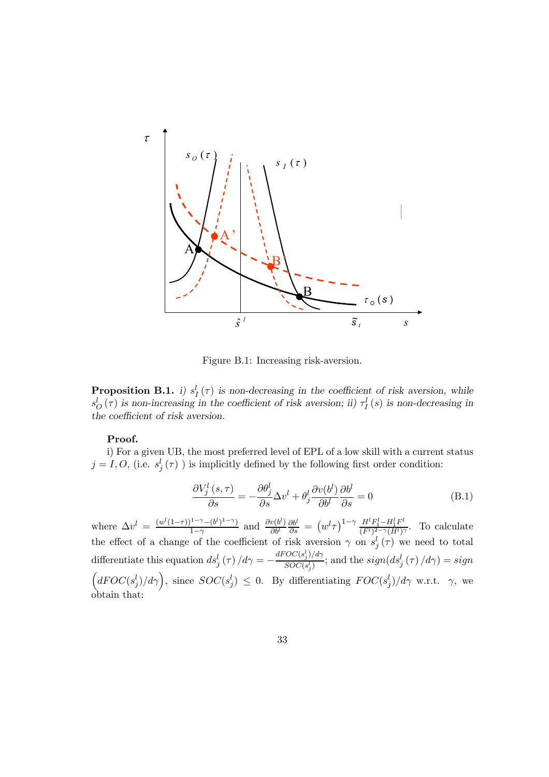

Figure B.1: Increasing risk-aversion.

**Proposition B.1.** i)  $s_I^l(\tau)$  is non-decreasing in the coefficient of risk aversion, while  $s_O^l(\tau)$  is non-increasing in the coefficient of risk aversion; ii)  $\tau_I^l(s)$  is non-decreasing in the coefficient of risk aversion.

#### Proof.

i) For a given UB, the most preferred level of EPL of a low skill with a current status  $j = I, O,$  (i.e.  $s_j^l(\tau)$ ) is implicitly defined by the following first order condition:

$$
\frac{\partial V_j^l(s,\tau)}{\partial s} = -\frac{\partial \theta_j^l}{\partial s} \Delta v^l + \theta_j^l \frac{\partial v(b^l)}{\partial b^l} \frac{\partial b^l}{\partial s} = 0
$$
 (B.1)

where  $\Delta v^l = \frac{(w^l(1-\tau))^{1-\gamma}-(b^l)^{1-\gamma}}{1-\gamma}$  and  $\frac{\partial v(b^l)}{\partial b^l}$  $\frac{\partial b^l}{\partial s} = (w^l \tau)^{1-\gamma} \frac{H^l F_1^l - H_1^l F^l}{(F^l)^{2-\gamma} (H^l)^{\gamma}}$ . To calculate the effect of a change of the coefficient of risk aversion  $\gamma$  on  $s_j^l(\tau)$  we need to total differentiate this equation  $ds_j^l(\tau)/d\gamma = -\frac{dFOC(s_j^l)/d\gamma}{SOC(s_j^l)}$  $\frac{SC(s_j^x)/a\gamma}{SOC(s_j^t)}$ ; and the  $sign(ds_j^l(\tau)/d\gamma) = sign$  $d{FOC(s_j^l)}/d\gamma$ , since  $SOC(s_j^l) \leq 0$ . By differentiating  $FOC(s_j^l)/d\gamma$  w.r.t.  $\gamma$ , we obtain that: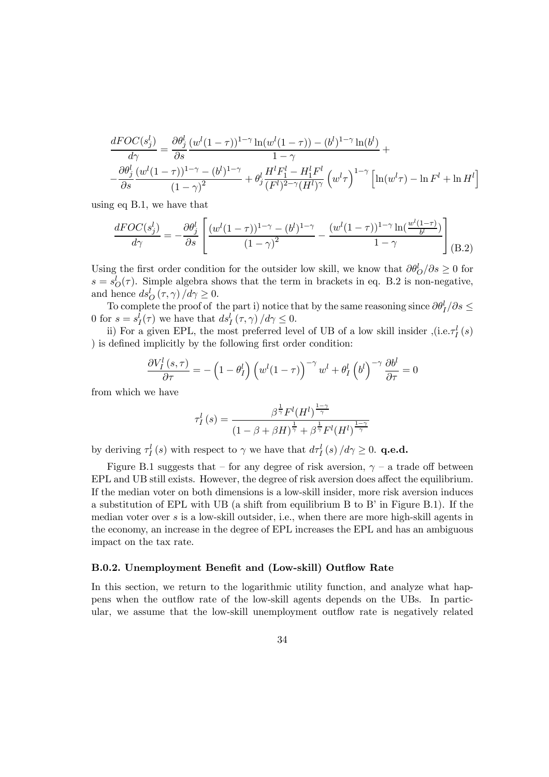$$
\frac{dFOC(s_j^l)}{d\gamma} = \frac{\partial \theta_j^l}{\partial s} \frac{(w^l(1-\tau))^{1-\gamma} \ln(w^l(1-\tau)) - (b^l)^{1-\gamma} \ln(b^l)}{1-\gamma} + \frac{\partial \theta_j^l}{\partial s} \frac{(w^l(1-\tau))^{1-\gamma} - (b^l)^{1-\gamma}}{(1-\gamma)^2} + \theta_j^l \frac{H^l F_1^l - H_1^l F^l}{(F^l)^{2-\gamma} (H^l)^{\gamma}} \left(w^l \tau\right)^{1-\gamma} \left[\ln(w^l \tau) - \ln F^l + \ln H^l\right]
$$

using eq B.1, we have that

$$
\frac{dFOC(s_j^l)}{d\gamma} = -\frac{\partial \theta_j^l}{\partial s} \left[ \frac{(w^l(1-\tau))^{1-\gamma} - (b^l)^{1-\gamma}}{(1-\gamma)^2} - \frac{(w^l(1-\tau))^{1-\gamma} \ln(\frac{w^l(1-\tau)}{b^l})}{1-\gamma} \right] (B.2)
$$

Using the first order condition for the outsider low skill, we know that  $\partial \theta^l_O / \partial s \geq 0$  for  $s = s_O^l(\tau)$ . Simple algebra shows that the term in brackets in eq. B.2 is non-negative, and hence  $ds_O^l(\tau, \gamma) / d\gamma \geq 0$ .

To complete the proof of the part i) notice that by the same reasoning since  $\partial \theta_I^l / \partial s \leq$ 0 for  $s = s_I^l(\tau)$  we have that  $ds_I^l(\tau, \gamma)/d\gamma \leq 0$ .

ii) For a given EPL, the most preferred level of UB of a low skill insider  $($ i.e. $\tau_I^l(s)$ ) is defined implicitly by the following first order condition:

$$
\frac{\partial V_I^l(s,\tau)}{\partial \tau} = -\left(1 - \theta_I^l\right) \left(w^l(1-\tau)\right)^{-\gamma} w^l + \theta_I^l \left(b^l\right)^{-\gamma} \frac{\partial b^l}{\partial \tau} = 0
$$

from which we have

$$
\tau_I^l(s) = \frac{\beta^{\frac{1}{\gamma}} F^l(H^l)^{\frac{1-\gamma}{\gamma}}}{(1-\beta+\beta H)^{\frac{1}{\gamma}} + \beta^{\frac{1}{\gamma}} F^l(H^l)^{\frac{1-\gamma}{\gamma}}}
$$

by deriving  $\tau_I^l(s)$  with respect to  $\gamma$  we have that  $d\tau_I^l(s)/d\gamma \geq 0$ . **q.e.d.** 

Figure B.1 suggests that – for any degree of risk aversion,  $\gamma$  – a trade off between EPL and UB still exists. However, the degree of risk aversion does affect the equilibrium. If the median voter on both dimensions is a low-skill insider, more risk aversion induces a substitution of EPL with UB (a shift from equilibrium B to B' in Figure B.1). If the median voter over s is a low-skill outsider, i.e., when there are more high-skill agents in the economy, an increase in the degree of EPL increases the EPL and has an ambiguous impact on the tax rate.

#### B.0.2. Unemployment Benefit and (Low-skill) Outflow Rate

In this section, we return to the logarithmic utility function, and analyze what happens when the outflow rate of the low-skill agents depends on the UBs. In particular, we assume that the low-skill unemployment outflow rate is negatively related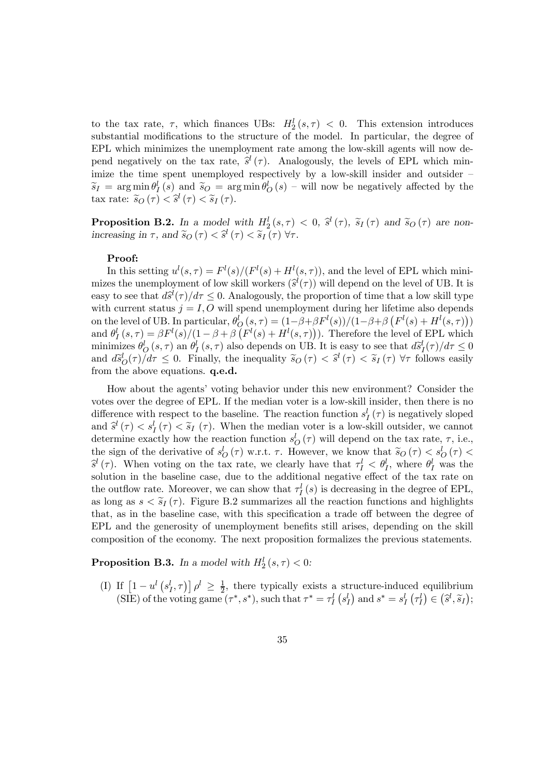to the tax rate,  $\tau$ , which finances UBs:  $H_2^l(s, \tau) < 0$ . This extension introduces substantial modifications to the structure of the model. In particular, the degree of EPL which minimizes the unemployment rate among the low-skill agents will now depend negatively on the tax rate,  $\hat{s}^l(\tau)$ . Analogously, the levels of EPL which minimize the time spent unemployed respectively by a low-skill insider and outsider  $\widetilde{s}_I = \arg \min_{\theta} \theta^l_I(s)$  and  $\widetilde{s}_O = \arg \min_{\theta} \theta^l_O(s)$  – will now be negatively affected by the tax rate:  $\widetilde{s}_O(\tau) < \widehat{s}^l(\tau) < \widetilde{s}_I(\tau)$ .

**Proposition B.2.** In a model with  $H_2^l(s, \tau) < 0$ ,  $\hat{s}^l(\tau)$ ,  $\tilde{s}_I(\tau)$  and  $\tilde{s}_O(\tau)$  are nonincreasing in  $\tau$ , and  $\widetilde{s}_O(\tau) < \widehat{s}^l(\tau) < \widetilde{s}_I(\tau)$   $\forall \tau$ .

#### Proof:

In this setting  $u^l(s,\tau) = F^l(s)/(F^l(s) + H^l(s,\tau))$ , and the level of EPL which minimizes the unemployment of low skill workers  $(\hat{s}^l(\tau))$  will depend on the level of UB. It is easy to see that  $d\hat{s}^{l}(\tau)/d\tau \leq 0$ . Analogously, the proportion of time that a low skill type with current status  $j = I, O$  will spend unemployment during her lifetime also depends on the level of UB. In particular,  $\theta_Q^l(s,\tau) = (1-\beta+\beta F^l(s))/(1-\beta+\beta (F^l(s) + H^l(s,\tau)))$ and  $\theta_I^l(s,\tau) = \beta F^l(s)/(1-\beta+\beta) (F^l(s) + H^l(s,\tau))$ . Therefore the level of EPL which minimizes  $\theta_0^l(s,\tau)$  an  $\theta_1^l(s,\tau)$  also depends on UB. It is easy to see that  $d\tilde{s}_1^l(\tau)/d\tau \leq 0$ and  $d\tilde{s}_{\mathcal{O}}^{l}(\tau)/d\tau \leq 0$ . Finally, the inequality  $\tilde{s}_{\mathcal{O}}(\tau) < \tilde{s}_{\mathcal{O}}^{l}(\tau) < \tilde{s}_{I}(\tau)$   $\forall \tau$  follows easily from the above equations. **q.e.d.** 

How about the agents' voting behavior under this new environment? Consider the votes over the degree of EPL. If the median voter is a low-skill insider, then there is no difference with respect to the baseline. The reaction function  $s_I^l(\tau)$  is negatively sloped and  $\hat{s}^l(\tau) < s_I^l(\tau) < \tilde{s}_I(\tau)$ . When the median voter is a low-skill outsider, we cannot determine exactly how the reaction function  $s_O^l(\tau)$  will depend on the tax rate,  $\tau$ , i.e., the sign of the derivative of  $s_0^l(\tau)$  w.r.t.  $\tau$ . However, we know that  $\tilde{s}_0(\tau) < s_0^l(\tau) <$  $\hat{s}^l(\tau)$ . When voting on the tax rate, we clearly have that  $\tau_l^l < \theta_l^l$ , where  $\theta_l^l$  was the solution in the baseline case, due to the additional negative effect of the tax rate on the outflow rate. Moreover, we can show that  $\tau_I^l(s)$  is decreasing in the degree of EPL, as long as  $s < \tilde{s}_I(\tau)$ . Figure B.2 summarizes all the reaction functions and highlights that, as in the baseline case, with this specification a trade off between the degree of EPL and the generosity of unemployment benefits still arises, depending on the skill composition of the economy. The next proposition formalizes the previous statements.

**Proposition B.3.** In a model with  $H_2^l(s, \tau) < 0$ :

(I) If  $\left[1-u^l\left(s_l^l,\tau\right)\right]\rho^l \geq \frac{1}{2}$ , there typically exists a structure-induced equilibrium (SIE) of the voting game  $(\tau^*, s^*)$ , such that  $\tau^* = \tau_I^l (s_I^l)$  and  $s^* = s_I^l (\tau_I^l) \in (\hat{s}^l, \tilde{s}_I)$ ;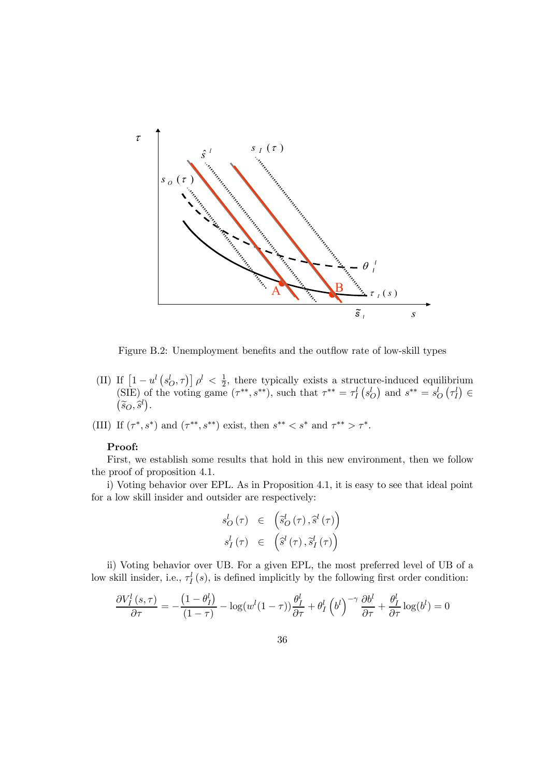

Figure B.2: Unemployment benefits and the outflow rate of low-skill types

- (II) If  $\left[1-u^l\left(s_0^l,\tau\right)\right]\rho^l < \frac{1}{2}$ , there typically exists a structure-induced equilibrium (SIE) of the voting game  $(\tau^{**}, s^{**})$ , such that  $\tau^{**} = \tau_I^l (s_O^l)$  and  $s^{**} = s_O^l (\tau_I^l) \in$  $(\widetilde{s}_O, \widehat{s}^l).$
- (III) If  $(\tau^*, s^*)$  and  $(\tau^{**}, s^{**})$  exist, then  $s^{**} < s^*$  and  $\tau^{**} > \tau^*$ .

#### Proof:

First, we establish some results that hold in this new environment, then we follow the proof of proposition 4.1.

i) Voting behavior over EPL. As in Proposition 4.1, it is easy to see that ideal point for a low skill insider and outsider are respectively:

$$
s_O^l(\tau) \in \left( \tilde{s}_O^l(\tau), \tilde{s}^l(\tau) \right)
$$
  

$$
s_I^l(\tau) \in \left( \tilde{s}^l(\tau), \tilde{s}_I^l(\tau) \right)
$$

ii) Voting behavior over UB. For a given EPL, the most preferred level of UB of a low skill insider, i.e.,  $\tau_I^l(s)$ , is defined implicitly by the following first order condition:

$$
\frac{\partial V_I^l(s,\tau)}{\partial \tau} = -\frac{(1-\theta_I^l)}{(1-\tau)} - \log(w^l(1-\tau))\frac{\theta_I^l}{\partial \tau} + \theta_I^l \left(b^l\right)^{-\gamma} \frac{\partial b^l}{\partial \tau} + \frac{\theta_I^l}{\partial \tau} \log(b^l) = 0
$$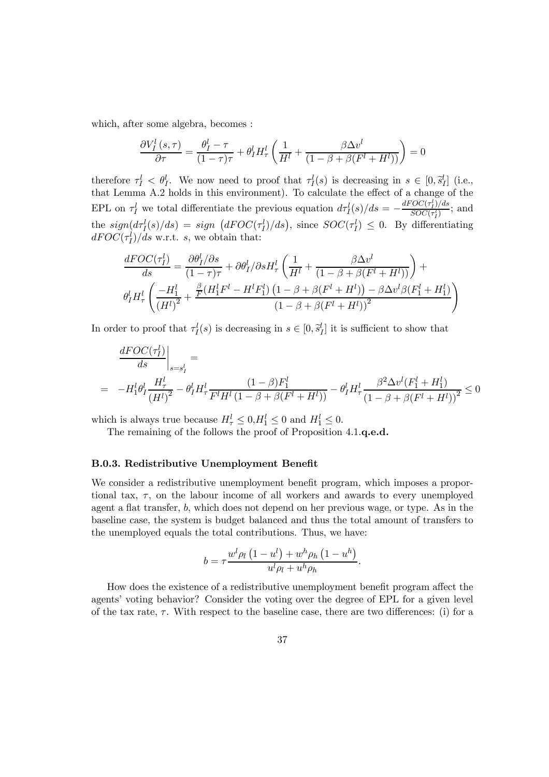which, after some algebra, becomes :

$$
\frac{\partial V_I^l(s,\tau)}{\partial \tau} = \frac{\theta_I^l - \tau}{(1-\tau)\tau} + \theta_I^l H_\tau^l \left( \frac{1}{H^l} + \frac{\beta \Delta v^l}{(1-\beta + \beta(F^l + H^l))} \right) = 0
$$

therefore  $\tau_I^l < \theta_I^l$ . We now need to proof that  $\tau_I^l(s)$  is decreasing in  $s \in [0, \tilde{s}_I^l]$  (i.e., that Lemma A.2 holds in this environment). To calculate the effect of a change of the EPL on  $\tau_I^l$  we total differentiate the previous equation  $d\tau_I^l(s)/ds = -\frac{dFOC(\tau_I^l)/ds}{SO(C(\tau_I^l))}$  $\frac{OC(\tau_I)/as}{SOC(\tau_I^l)}$ ; and the  $sign(d\tau_I^l(s)/ds) = sign(dFOC(\tau_I^l)/ds)$ , since  $SOC(\tau_I^l) \leq 0$ . By differentiating  $dFOC(\tau_I^l)/ds$  w.r.t. s, we obtain that:

$$
\frac{dFOC(\tau_I^l)}{ds} = \frac{\partial \theta_I^l / \partial s}{(1-\tau)\tau} + \partial \theta_I^l / \partial s H_\tau^l \left(\frac{1}{H^l} + \frac{\beta \Delta v^l}{(1-\beta+\beta(F^l+H^l))}\right) +
$$

$$
\theta_I^l H_\tau^l \left(\frac{-H_1^l}{\left(H^l\right)^2} + \frac{\frac{\beta}{F}(H_1^l F^l - H^l F_1^l) \left(1-\beta+\beta(F^l+H^l)\right) - \beta \Delta v^l \beta(F_1^l+H_1^l)}{\left(1-\beta+\beta(F^l+H^l)\right)^2}\right)
$$

In order to proof that  $\tau_I^l(s)$  is decreasing in  $s \in [0, \tilde{s}_I^l]$  it is sufficient to show that

$$
\frac{dFOC(\tau_I^l)}{ds}\Big|_{s=s_I^l} =
$$
\n
$$
= -H_1^l \theta_I^l \frac{H_\tau^l}{(H^l)^2} - \theta_I^l H_\tau^l \frac{(1-\beta)F_1^l}{F^l H^l (1-\beta+\beta(F^l+H^l))} - \theta_I^l H_\tau^l \frac{\beta^2 \Delta v^l (F_1^l + H_1^l)}{(1-\beta+\beta(F^l+H^l))^2} \le 0
$$

which is always true because  $H^l_\tau \leq 0, H^l_1 \leq 0$  and  $H^l_1 \leq 0$ .

The remaining of the follows the proof of Proposition 4.1.q.e.d.

#### B.0.3. Redistributive Unemployment Benefit

We consider a redistributive unemployment benefit program, which imposes a proportional tax,  $\tau$ , on the labour income of all workers and awards to every unemployed agent a flat transfer, b, which does not depend on her previous wage, or type. As in the baseline case, the system is budget balanced and thus the total amount of transfers to the unemployed equals the total contributions. Thus, we have:

$$
b = \tau \frac{w^l \rho_l \left(1 - u^l\right) + w^h \rho_h \left(1 - u^h\right)}{u^l \rho_l + u^h \rho_h}.
$$

How does the existence of a redistributive unemployment benefit program affect the agents' voting behavior? Consider the voting over the degree of EPL for a given level of the tax rate,  $\tau$ . With respect to the baseline case, there are two differences: (i) for a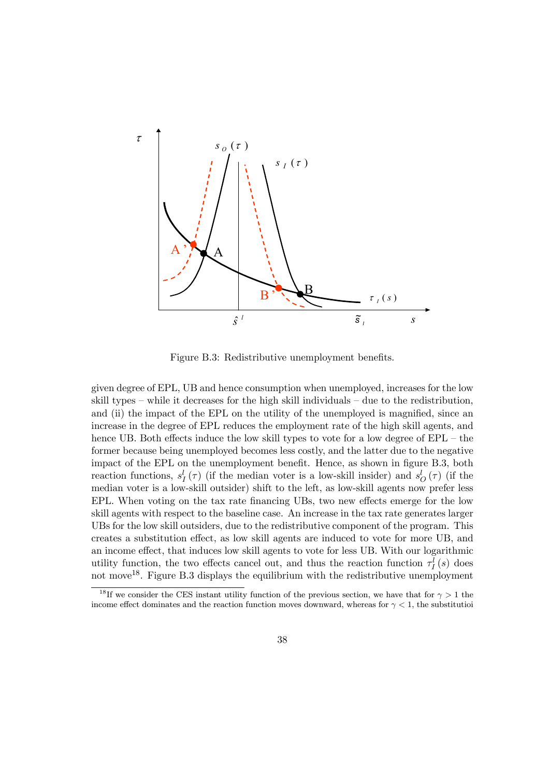

Figure B.3: Redistributive unemployment benefits.

given degree of EPL, UB and hence consumption when unemployed, increases for the low skill types — while it decreases for the high skill individuals — due to the redistribution, and (ii) the impact of the EPL on the utility of the unemployed is magnified, since an increase in the degree of EPL reduces the employment rate of the high skill agents, and hence UB. Both effects induce the low skill types to vote for a low degree of  $EPL -$  the former because being unemployed becomes less costly, and the latter due to the negative impact of the EPL on the unemployment benefit. Hence, as shown in figure B.3, both reaction functions,  $s_I^l(\tau)$  (if the median voter is a low-skill insider) and  $s_O^l(\tau)$  (if the median voter is a low-skill outsider) shift to the left, as low-skill agents now prefer less EPL. When voting on the tax rate financing UBs, two new effects emerge for the low skill agents with respect to the baseline case. An increase in the tax rate generates larger UBs for the low skill outsiders, due to the redistributive component of the program. This creates a substitution effect, as low skill agents are induced to vote for more UB, and an income effect, that induces low skill agents to vote for less UB. With our logarithmic utility function, the two effects cancel out, and thus the reaction function  $\tau_I^l(s)$  does not move18. Figure B.3 displays the equilibrium with the redistributive unemployment

<sup>&</sup>lt;sup>18</sup>If we consider the CES instant utility function of the previous section, we have that for  $\gamma > 1$  the income effect dominates and the reaction function moves downward, whereas for  $\gamma < 1$ , the substitutioi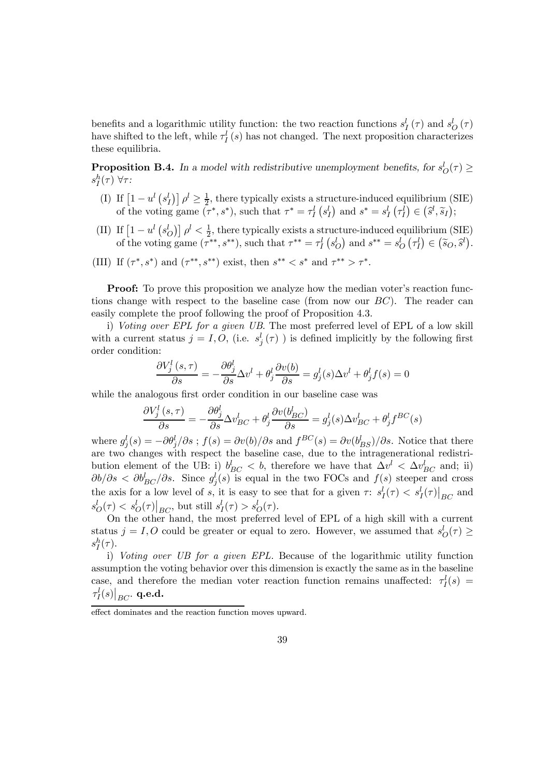benefits and a logarithmic utility function: the two reaction functions  $s_I^l(\tau)$  and  $s_O^l(\tau)$ have shifted to the left, while  $\tau_l^l(s)$  has not changed. The next proposition characterizes these equilibria.

**Proposition B.4.** In a model with redistributive unemployment benefits, for  $s_O^l(\tau) \ge$  $s_I^h(\tau)$   $\forall \tau$ :

- (I) If  $\left[1-u^l\left(s_l^l\right)\right]\rho^l\geq\frac{1}{2}$ , there typically exists a structure-induced equilibrium (SIE) of the voting game  $(\tau^*, s^*)$ , such that  $\tau^* = \tau_I^l \left( s_I^l \right)$  and  $s^* = s_I^l \left( \tau_I^l \right) \in (\hat{s}^l, \tilde{s}_I);$
- (II) If  $\left[1-u^l\left(s_O^l\right)\right]\rho^l < \frac{1}{2}$ , there typically exists a structure-induced equilibrium (SIE) of the voting game  $(\tau^{**}, s^{**})$ , such that  $\tau^{**} = \tau_I^l$   $(s_Q^l)$  and  $s^{**} = s_Q^l$   $(\tau_I^l) \in (\tilde{s}_O, \tilde{s}^l)$ .
- (III) If  $(\tau^*, s^*)$  and  $(\tau^{**}, s^{**})$  exist, then  $s^{**} < s^*$  and  $\tau^{**} > \tau^*$ .

**Proof:** To prove this proposition we analyze how the median voter's reaction functions change with respect to the baseline case (from now our  $BC$ ). The reader can easily complete the proof following the proof of Proposition 4.3.

i) Voting over EPL for a given UB. The most preferred level of EPL of a low skill with a current status  $j = I, O,$  (i.e.  $s_j^l(\tau)$ ) is defined implicitly by the following first order condition:

$$
\frac{\partial V_j^l\left(s,\tau\right)}{\partial s}=-\frac{\partial \theta_j^l}{\partial s}\Delta v^l+\theta_j^l\frac{\partial v(b)}{\partial s}=g_j^l(s)\Delta v^l+\theta_j^l f(s)=0
$$

while the analogous first order condition in our baseline case was

$$
\frac{\partial V_j^l\left(s,\tau\right)}{\partial s}=-\frac{\partial \theta_j^l}{\partial s}\Delta v_{BC}^l+\theta_j^l\frac{\partial v(b_{BC}^l)}{\partial s}=g_j^l(s)\Delta v_{BC}^l+\theta_j^lf^{BC}(s)
$$

where  $g_j^l(s) = -\partial \theta_j^l/\partial s$ ;  $f(s) = \partial v(b)/\partial s$  and  $f^{BC}(s) = \partial v(b_{BS}^l)/\partial s$ . Notice that there are two changes with respect the baseline case, due to the intragenerational redistribution element of the UB: i)  $b_{BC}^l < b$ , therefore we have that  $\Delta v^l < \Delta v_{BC}^l$  and; ii)  $\partial b/\partial s < \partial b_{BC}^l/\partial s$ . Since  $g_j^l(s)$  is equal in the two FOCs and  $f(s)$  steeper and cross the axis for a low level of s, it is easy to see that for a given  $\tau: s_I^l(\tau) < s_I^l(\tau) \big|_{BC}$  and  $s_O^l(\tau) < s_O^l(\tau)|_{BC}$ , but still  $s_I^l(\tau) > s_O^l(\tau)$ .

On the other hand, the most preferred level of EPL of a high skill with a current status  $j = I, O$  could be greater or equal to zero. However, we assumed that  $s_O^l(\tau) \ge$  $s_I^h(\tau)$ .

i) Voting over UB for a given EPL. Because of the logarithmic utility function assumption the voting behavior over this dimension is exactly the same as in the baseline case, and therefore the median voter reaction function remains unaffected:  $\tau_l^l(s)$  =  $\left.\tau^l_I(s)\right|_{BC}$ . q.e.d.

effect dominates and the reaction function moves upward.